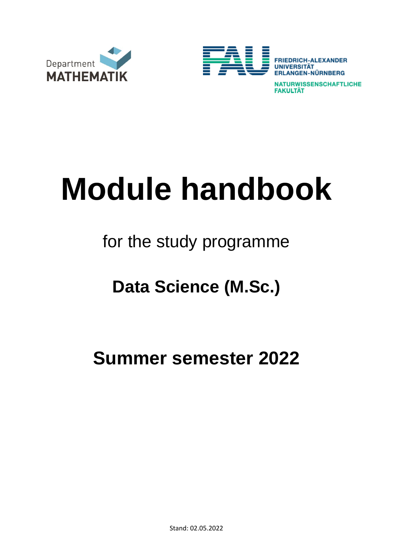



**NATURWISSENSCHAFTLICHE FAKULTÄT** 

# **Module handbook**

### for the study programme

## **Data Science (M.Sc.)**

#### **Summer semester 2022**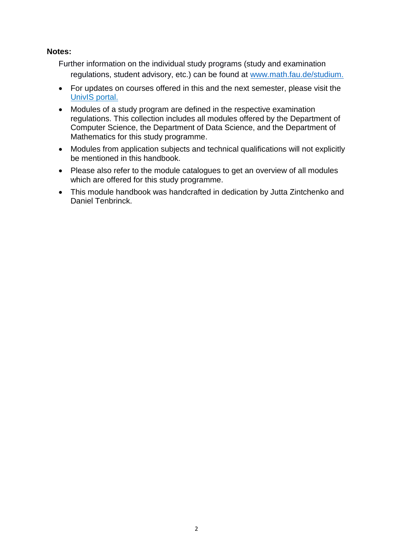#### **Notes:**

Further information on the individual study programs (study and examination regulations, student advisory, etc.) can be found at [www.math.fau.de/studium.](http://www.math.fau.de/studium.)

- For updates on courses offered in this and the next semester, please visit the [UnivIS](http://univis.uni-erlangen.de/go/lec&chapter=natur/mathem) portal.
- Modules of a study program are defined in the respective examination regulations. This collection includes all modules offered by the Department of Computer Science, the Department of Data Science, and the Department of Mathematics for this study programme.
- Modules from application subjects and technical qualifications will not explicitly be mentioned in this handbook.
- Please also refer to the module catalogues to get an overview of all modules which are offered for this study programme.
- This module handbook was handcrafted in dedication by Jutta Zintchenko and Daniel Tenbrinck.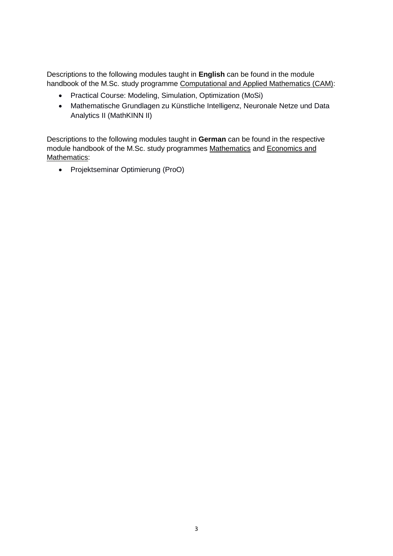Descriptions to the following modules taught in **English** can be found in the module handbook of the M.Sc. study programme Computational and Applied Mathematics (CAM):

- Practical Course: Modeling, Simulation, Optimization (MoSi)
- Mathematische Grundlagen zu Künstliche Intelligenz, Neuronale Netze und Data Analytics II (MathKINN II)

Descriptions to the following modules taught in **German** can be found in the respective module handbook of the M.Sc. study programmes Mathematics and Economics and Mathematics:

• Projektseminar Optimierung (ProO)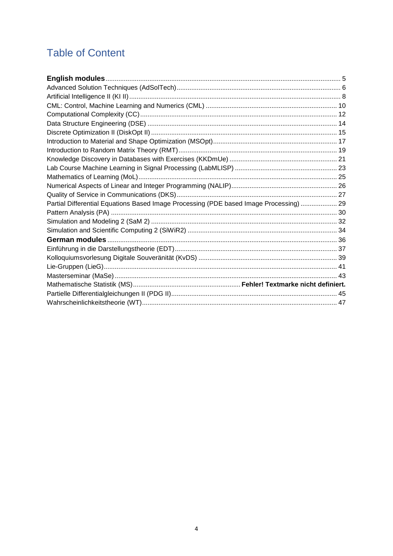#### **Table of Content**

| Partial Differential Equations Based Image Processing (PDE based Image Processing)  29 |  |
|----------------------------------------------------------------------------------------|--|
|                                                                                        |  |
|                                                                                        |  |
|                                                                                        |  |
|                                                                                        |  |
|                                                                                        |  |
|                                                                                        |  |
|                                                                                        |  |
|                                                                                        |  |
|                                                                                        |  |
|                                                                                        |  |
|                                                                                        |  |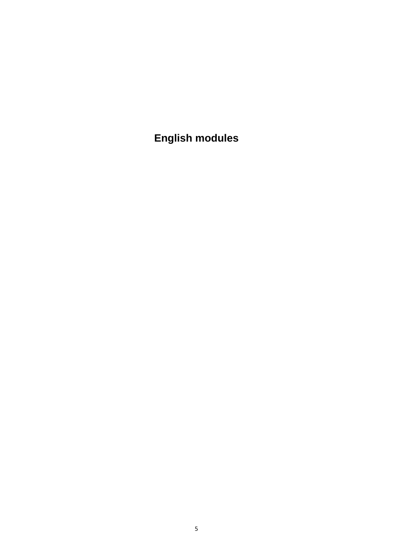<span id="page-4-0"></span>**English modules**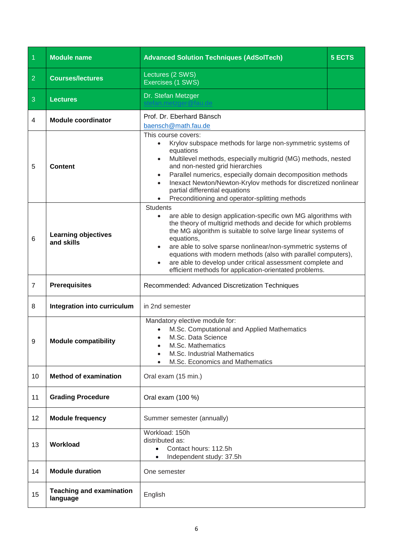<span id="page-5-0"></span>

| $\overline{1}$ | <b>Module name</b>                          | <b>Advanced Solution Techniques (AdSolTech)</b>                                                                                                                                                                                                                                                                                                                                                                                                                                                                     | <b>5 ECTS</b> |
|----------------|---------------------------------------------|---------------------------------------------------------------------------------------------------------------------------------------------------------------------------------------------------------------------------------------------------------------------------------------------------------------------------------------------------------------------------------------------------------------------------------------------------------------------------------------------------------------------|---------------|
| $\overline{2}$ | <b>Courses/lectures</b>                     | Lectures (2 SWS)<br>Exercises (1 SWS)                                                                                                                                                                                                                                                                                                                                                                                                                                                                               |               |
| 3              | <b>Lectures</b>                             | Dr. Stefan Metzger                                                                                                                                                                                                                                                                                                                                                                                                                                                                                                  |               |
| 4              | <b>Module coordinator</b>                   | Prof. Dr. Eberhard Bänsch<br>baensch@math.fau.de                                                                                                                                                                                                                                                                                                                                                                                                                                                                    |               |
| 5              | <b>Content</b>                              | This course covers:<br>Krylov subspace methods for large non-symmetric systems of<br>$\bullet$<br>equations<br>Multilevel methods, especially multigrid (MG) methods, nested<br>$\bullet$<br>and non-nested grid hierarchies<br>Parallel numerics, especially domain decomposition methods<br>$\bullet$<br>Inexact Newton/Newton-Krylov methods for discretized nonlinear<br>$\bullet$<br>partial differential equations<br>Preconditioning and operator-splitting methods                                          |               |
| 6              | <b>Learning objectives</b><br>and skills    | <b>Students</b><br>are able to design application-specific own MG algorithms with<br>the theory of multigrid methods and decide for which problems<br>the MG algorithm is suitable to solve large linear systems of<br>equations,<br>are able to solve sparse nonlinear/non-symmetric systems of<br>$\bullet$<br>equations with modern methods (also with parallel computers),<br>are able to develop under critical assessment complete and<br>$\bullet$<br>efficient methods for application-orientated problems. |               |
| $\overline{7}$ | <b>Prerequisites</b>                        | Recommended: Advanced Discretization Techniques                                                                                                                                                                                                                                                                                                                                                                                                                                                                     |               |
| 8              | Integration into curriculum                 | in 2nd semester                                                                                                                                                                                                                                                                                                                                                                                                                                                                                                     |               |
| 9              | <b>Module compatibility</b>                 | Mandatory elective module for:<br>M.Sc. Computational and Applied Mathematics<br>M.Sc. Data Science<br>$\bullet$<br>M.Sc. Mathematics<br>$\bullet$<br>M.Sc. Industrial Mathematics<br>M.Sc. Economics and Mathematics                                                                                                                                                                                                                                                                                               |               |
| 10             | <b>Method of examination</b>                | Oral exam (15 min.)                                                                                                                                                                                                                                                                                                                                                                                                                                                                                                 |               |
| 11             | <b>Grading Procedure</b>                    | Oral exam (100 %)                                                                                                                                                                                                                                                                                                                                                                                                                                                                                                   |               |
| 12             | <b>Module frequency</b>                     | Summer semester (annually)                                                                                                                                                                                                                                                                                                                                                                                                                                                                                          |               |
| 13             | Workload                                    | Workload: 150h<br>distributed as:<br>Contact hours: 112.5h<br>Independent study: 37.5h<br>$\bullet$                                                                                                                                                                                                                                                                                                                                                                                                                 |               |
| 14             | <b>Module duration</b>                      | One semester                                                                                                                                                                                                                                                                                                                                                                                                                                                                                                        |               |
| 15             | <b>Teaching and examination</b><br>language | English                                                                                                                                                                                                                                                                                                                                                                                                                                                                                                             |               |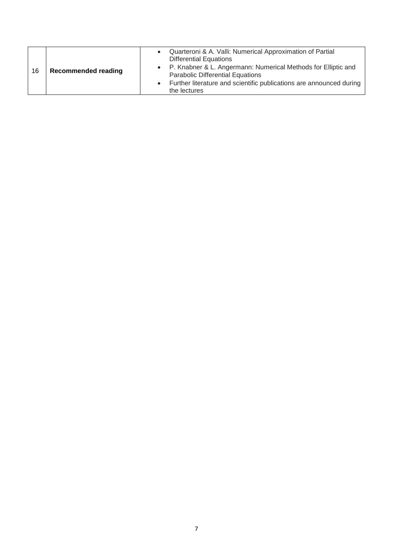| 16 | <b>Recommended reading</b> | Quarteroni & A. Valli: Numerical Approximation of Partial<br><b>Differential Equations</b><br>• P. Knabner & L. Angermann: Numerical Methods for Elliptic and<br><b>Parabolic Differential Equations</b><br>Further literature and scientific publications are announced during<br>the lectures |
|----|----------------------------|-------------------------------------------------------------------------------------------------------------------------------------------------------------------------------------------------------------------------------------------------------------------------------------------------|
|----|----------------------------|-------------------------------------------------------------------------------------------------------------------------------------------------------------------------------------------------------------------------------------------------------------------------------------------------|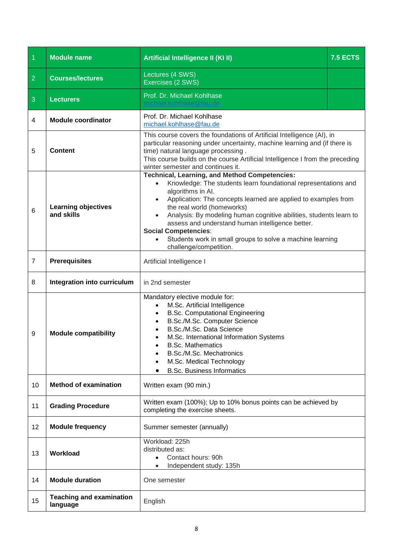<span id="page-7-0"></span>

| $\overline{1}$ | <b>Module name</b>                          | Artificial Intelligence II (KI II)                                                                                                                                                                                                                                                                                                                                                                                                                                                                       | <b>7.5 ECTS</b> |
|----------------|---------------------------------------------|----------------------------------------------------------------------------------------------------------------------------------------------------------------------------------------------------------------------------------------------------------------------------------------------------------------------------------------------------------------------------------------------------------------------------------------------------------------------------------------------------------|-----------------|
| $\overline{2}$ | <b>Courses/lectures</b>                     | Lectures (4 SWS)<br>Exercises (2 SWS)                                                                                                                                                                                                                                                                                                                                                                                                                                                                    |                 |
| 3              | <b>Lecturers</b>                            | Prof. Dr. Michael Kohlhase                                                                                                                                                                                                                                                                                                                                                                                                                                                                               |                 |
| $\overline{4}$ | <b>Module coordinator</b>                   | Prof. Dr. Michael Kohlhase<br>michael.kohlhase@fau.de                                                                                                                                                                                                                                                                                                                                                                                                                                                    |                 |
| 5              | <b>Content</b>                              | This course covers the foundations of Artificial Intelligence (AI), in<br>particular reasoning under uncertainty, machine learning and (if there is<br>time) natural language processing.<br>This course builds on the course Artificial Intelligence I from the preceding<br>winter semester and continues it.                                                                                                                                                                                          |                 |
| 6              | <b>Learning objectives</b><br>and skills    | <b>Technical, Learning, and Method Competencies:</b><br>Knowledge: The students learn foundational representations and<br>algorithms in AI.<br>Application: The concepts learned are applied to examples from<br>the real world (homeworks)<br>Analysis: By modeling human cognitive abilities, students learn to<br>$\bullet$<br>assess and understand human intelligence better.<br><b>Social Competencies:</b><br>Students work in small groups to solve a machine learning<br>challenge/competition. |                 |
| $\overline{7}$ | <b>Prerequisites</b>                        | Artificial Intelligence I                                                                                                                                                                                                                                                                                                                                                                                                                                                                                |                 |
| 8              | Integration into curriculum                 | in 2nd semester                                                                                                                                                                                                                                                                                                                                                                                                                                                                                          |                 |
| 9              | <b>Module compatibility</b>                 | Mandatory elective module for:<br>M.Sc. Artificial Intelligence<br>$\bullet$<br><b>B.Sc. Computational Engineering</b><br>$\bullet$<br>B.Sc./M.Sc. Computer Science<br>B.Sc./M.Sc. Data Science<br>M.Sc. International Information Systems<br><b>B.Sc. Mathematics</b><br>B.Sc./M.Sc. Mechatronics<br>M.Sc. Medical Technology<br><b>B.Sc. Business Informatics</b>                                                                                                                                      |                 |
| 10             | <b>Method of examination</b>                | Written exam (90 min.)                                                                                                                                                                                                                                                                                                                                                                                                                                                                                   |                 |
| 11             | <b>Grading Procedure</b>                    | Written exam (100%); Up to 10% bonus points can be achieved by<br>completing the exercise sheets.                                                                                                                                                                                                                                                                                                                                                                                                        |                 |
| 12             | <b>Module frequency</b>                     | Summer semester (annually)                                                                                                                                                                                                                                                                                                                                                                                                                                                                               |                 |
| 13             | Workload                                    | Workload: 225h<br>distributed as:<br>Contact hours: 90h<br>Independent study: 135h                                                                                                                                                                                                                                                                                                                                                                                                                       |                 |
| 14             | <b>Module duration</b>                      | One semester                                                                                                                                                                                                                                                                                                                                                                                                                                                                                             |                 |
| 15             | <b>Teaching and examination</b><br>language | English                                                                                                                                                                                                                                                                                                                                                                                                                                                                                                  |                 |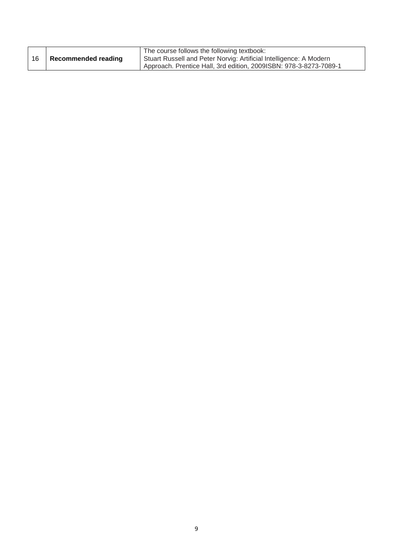| 16 | <b>Recommended reading</b> | The course follows the following textbook:<br>Stuart Russell and Peter Norvig: Artificial Intelligence: A Modern |
|----|----------------------------|------------------------------------------------------------------------------------------------------------------|
|    |                            | Approach. Prentice Hall, 3rd edition, 2009ISBN: 978-3-8273-7089-1                                                |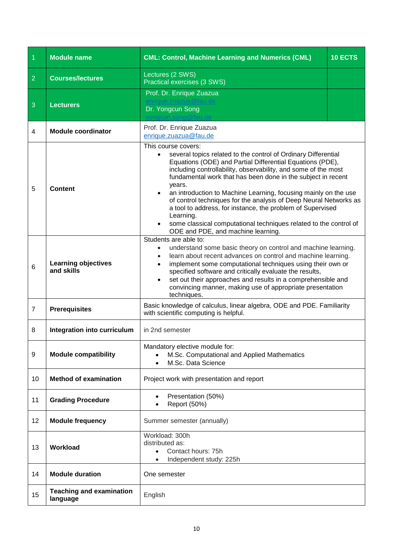<span id="page-9-0"></span>

| $\overline{1}$ | <b>Module name</b>                          | <b>CML: Control, Machine Learning and Numerics (CML)</b>                                                                                                                                                                                                                                                                                                                                                                                                                                                                                                                                                                     | 10 ECTS |
|----------------|---------------------------------------------|------------------------------------------------------------------------------------------------------------------------------------------------------------------------------------------------------------------------------------------------------------------------------------------------------------------------------------------------------------------------------------------------------------------------------------------------------------------------------------------------------------------------------------------------------------------------------------------------------------------------------|---------|
| $\overline{2}$ | <b>Courses/lectures</b>                     | Lectures (2 SWS)<br>Practical exercises (3 SWS)                                                                                                                                                                                                                                                                                                                                                                                                                                                                                                                                                                              |         |
| 3              | <b>Lecturers</b>                            | Prof. Dr. Enrique Zuazua<br>Dr. Yongcun Song                                                                                                                                                                                                                                                                                                                                                                                                                                                                                                                                                                                 |         |
| 4              | <b>Module coordinator</b>                   | Prof. Dr. Enrique Zuazua<br>enrique.zuazua@fau.de                                                                                                                                                                                                                                                                                                                                                                                                                                                                                                                                                                            |         |
| 5              | <b>Content</b>                              | This course covers:<br>several topics related to the control of Ordinary Differential<br>Equations (ODE) and Partial Differential Equations (PDE),<br>including controllability, observability, and some of the most<br>fundamental work that has been done in the subject in recent<br>years.<br>an introduction to Machine Learning, focusing mainly on the use<br>of control techniques for the analysis of Deep Neural Networks as<br>a tool to address, for instance, the problem of Supervised<br>Learning.<br>some classical computational techniques related to the control of<br>ODE and PDE, and machine learning. |         |
| 6              | <b>Learning objectives</b><br>and skills    | Students are able to:<br>understand some basic theory on control and machine learning.<br>learn about recent advances on control and machine learning.<br>$\bullet$<br>implement some computational techniques using their own or<br>specified software and critically evaluate the results,<br>set out their approaches and results in a comprehensible and<br>convincing manner, making use of appropriate presentation<br>techniques.                                                                                                                                                                                     |         |
| $\overline{7}$ | <b>Prerequisites</b>                        | Basic knowledge of calculus, linear algebra, ODE and PDE. Familiarity<br>with scientific computing is helpful.                                                                                                                                                                                                                                                                                                                                                                                                                                                                                                               |         |
| 8              | Integration into curriculum                 | in 2nd semester                                                                                                                                                                                                                                                                                                                                                                                                                                                                                                                                                                                                              |         |
| 9              | <b>Module compatibility</b>                 | Mandatory elective module for:<br>M.Sc. Computational and Applied Mathematics<br>M.Sc. Data Science                                                                                                                                                                                                                                                                                                                                                                                                                                                                                                                          |         |
| 10             | <b>Method of examination</b>                | Project work with presentation and report                                                                                                                                                                                                                                                                                                                                                                                                                                                                                                                                                                                    |         |
| 11             | <b>Grading Procedure</b>                    | Presentation (50%)<br>Report (50%)                                                                                                                                                                                                                                                                                                                                                                                                                                                                                                                                                                                           |         |
| 12             | <b>Module frequency</b>                     | Summer semester (annually)                                                                                                                                                                                                                                                                                                                                                                                                                                                                                                                                                                                                   |         |
| 13             | Workload                                    | Workload: 300h<br>distributed as:<br>Contact hours: 75h<br>Independent study: 225h                                                                                                                                                                                                                                                                                                                                                                                                                                                                                                                                           |         |
| 14             | <b>Module duration</b>                      | One semester                                                                                                                                                                                                                                                                                                                                                                                                                                                                                                                                                                                                                 |         |
| 15             | <b>Teaching and examination</b><br>language | English                                                                                                                                                                                                                                                                                                                                                                                                                                                                                                                                                                                                                      |         |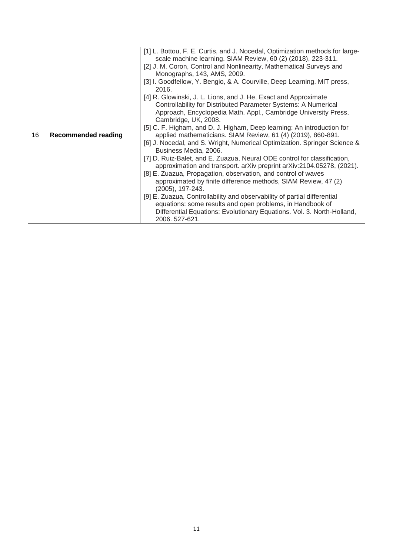| 16 | <b>Recommended reading</b> | [1] L. Bottou, F. E. Curtis, and J. Nocedal, Optimization methods for large-<br>scale machine learning. SIAM Review, 60 (2) (2018), 223-311.<br>[2] J. M. Coron, Control and Nonlinearity, Mathematical Surveys and<br>Monographs, 143, AMS, 2009.<br>[3] I. Goodfellow, Y. Bengio, & A. Courville, Deep Learning. MIT press,<br>2016.<br>[4] R. Glowinski, J. L. Lions, and J. He, Exact and Approximate<br>Controllability for Distributed Parameter Systems: A Numerical<br>Approach, Encyclopedia Math. Appl., Cambridge University Press,<br>Cambridge, UK, 2008.<br>[5] C. F. Higham, and D. J. Higham, Deep learning: An introduction for<br>applied mathematicians. SIAM Review, 61 (4) (2019), 860-891.<br>[6] J. Nocedal, and S. Wright, Numerical Optimization. Springer Science &<br>Business Media, 2006.<br>[7] D. Ruiz-Balet, and E. Zuazua, Neural ODE control for classification,<br>approximation and transport. arXiv preprint arXiv:2104.05278, (2021).<br>[8] E. Zuazua, Propagation, observation, and control of waves<br>approximated by finite difference methods, SIAM Review, 47 (2)<br>(2005), 197-243.<br>[9] E. Zuazua, Controllability and observability of partial differential |
|----|----------------------------|----------------------------------------------------------------------------------------------------------------------------------------------------------------------------------------------------------------------------------------------------------------------------------------------------------------------------------------------------------------------------------------------------------------------------------------------------------------------------------------------------------------------------------------------------------------------------------------------------------------------------------------------------------------------------------------------------------------------------------------------------------------------------------------------------------------------------------------------------------------------------------------------------------------------------------------------------------------------------------------------------------------------------------------------------------------------------------------------------------------------------------------------------------------------------------------------------------------|
|    |                            | equations: some results and open problems, in Handbook of<br>Differential Equations: Evolutionary Equations. Vol. 3. North-Holland,<br>2006. 527-621.                                                                                                                                                                                                                                                                                                                                                                                                                                                                                                                                                                                                                                                                                                                                                                                                                                                                                                                                                                                                                                                          |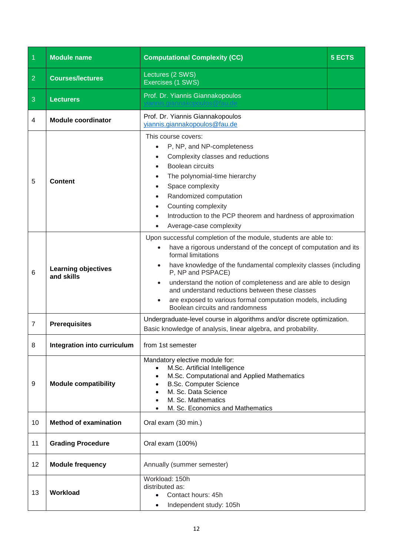<span id="page-11-0"></span>

| $\overline{1}$ | <b>Module name</b>                       | <b>Computational Complexity (CC)</b>                                                                                                                                                                                                                                                                                                                                                                                                                                                | 5 ECTS |
|----------------|------------------------------------------|-------------------------------------------------------------------------------------------------------------------------------------------------------------------------------------------------------------------------------------------------------------------------------------------------------------------------------------------------------------------------------------------------------------------------------------------------------------------------------------|--------|
| $\overline{2}$ | <b>Courses/lectures</b>                  | Lectures (2 SWS)<br>Exercises (1 SWS)                                                                                                                                                                                                                                                                                                                                                                                                                                               |        |
| 3              | <b>Lecturers</b>                         | Prof. Dr. Yiannis Giannakopoulos                                                                                                                                                                                                                                                                                                                                                                                                                                                    |        |
| 4              | <b>Module coordinator</b>                | Prof. Dr. Yiannis Giannakopoulos<br>yiannis.giannakopoulos@fau.de                                                                                                                                                                                                                                                                                                                                                                                                                   |        |
| 5              | Content                                  | This course covers:<br>P, NP, and NP-completeness<br>Complexity classes and reductions<br>Boolean circuits<br>The polynomial-time hierarchy<br>Space complexity<br>Randomized computation<br>Counting complexity<br>Introduction to the PCP theorem and hardness of approximation<br>Average-case complexity                                                                                                                                                                        |        |
| 6              | <b>Learning objectives</b><br>and skills | Upon successful completion of the module, students are able to:<br>have a rigorous understand of the concept of computation and its<br>formal limitations<br>have knowledge of the fundamental complexity classes (including<br>P, NP and PSPACE)<br>understand the notion of completeness and are able to design<br>$\bullet$<br>and understand reductions between these classes<br>are exposed to various formal computation models, including<br>Boolean circuits and randomness |        |
| $\overline{7}$ | <b>Prerequisites</b>                     | Undergraduate-level course in algorithms and/or discrete optimization.<br>Basic knowledge of analysis, linear algebra, and probability.                                                                                                                                                                                                                                                                                                                                             |        |
| 8              | Integration into curriculum              | from 1st semester                                                                                                                                                                                                                                                                                                                                                                                                                                                                   |        |
| 9              | <b>Module compatibility</b>              | Mandatory elective module for:<br>M.Sc. Artificial Intelligence<br>$\bullet$<br>M.Sc. Computational and Applied Mathematics<br><b>B.Sc. Computer Science</b><br>M. Sc. Data Science<br>M. Sc. Mathematics<br>M. Sc. Economics and Mathematics                                                                                                                                                                                                                                       |        |
| 10             | <b>Method of examination</b>             | Oral exam (30 min.)                                                                                                                                                                                                                                                                                                                                                                                                                                                                 |        |
| 11             | <b>Grading Procedure</b>                 | Oral exam (100%)                                                                                                                                                                                                                                                                                                                                                                                                                                                                    |        |
| 12             | <b>Module frequency</b>                  | Annually (summer semester)                                                                                                                                                                                                                                                                                                                                                                                                                                                          |        |
| 13             | Workload                                 | Workload: 150h<br>distributed as:<br>Contact hours: 45h<br>Independent study: 105h<br>$\bullet$                                                                                                                                                                                                                                                                                                                                                                                     |        |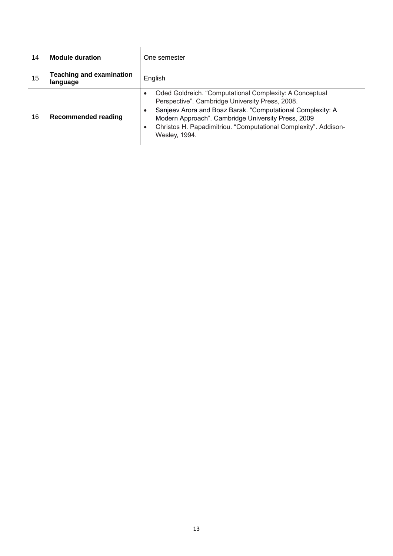| 14 | <b>Module duration</b>                      | One semester                                                                                                                                                                                                                                                                                                                                 |
|----|---------------------------------------------|----------------------------------------------------------------------------------------------------------------------------------------------------------------------------------------------------------------------------------------------------------------------------------------------------------------------------------------------|
| 15 | <b>Teaching and examination</b><br>language | English                                                                                                                                                                                                                                                                                                                                      |
| 16 | <b>Recommended reading</b>                  | Oded Goldreich. "Computational Complexity: A Conceptual<br>Perspective". Cambridge University Press, 2008.<br>Sanjeev Arora and Boaz Barak. "Computational Complexity: A<br>$\bullet$<br>Modern Approach". Cambridge University Press, 2009<br>Christos H. Papadimitriou. "Computational Complexity". Addison-<br>$\bullet$<br>Wesley, 1994. |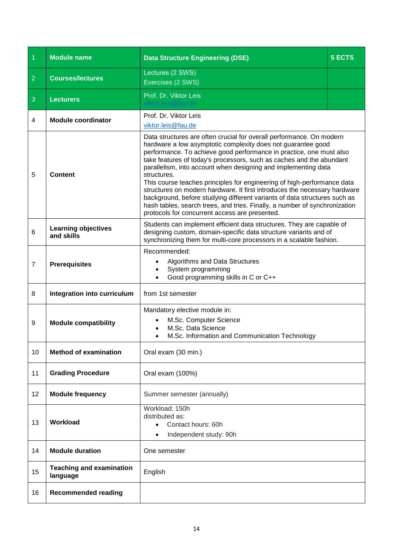<span id="page-13-0"></span>

| $\overline{1}$ | <b>Module name</b>                          | <b>Data Structure Engineering (DSE)</b>                                                                                                                                                                                                                                                                                                                                                                                                                                                                                                                                                                                                                                                                                                   | <b>5 ECTS</b> |
|----------------|---------------------------------------------|-------------------------------------------------------------------------------------------------------------------------------------------------------------------------------------------------------------------------------------------------------------------------------------------------------------------------------------------------------------------------------------------------------------------------------------------------------------------------------------------------------------------------------------------------------------------------------------------------------------------------------------------------------------------------------------------------------------------------------------------|---------------|
| $\overline{2}$ | <b>Courses/lectures</b>                     | Lectures (2 SWS)<br>Exercises (2 SWS)                                                                                                                                                                                                                                                                                                                                                                                                                                                                                                                                                                                                                                                                                                     |               |
| 3              | <b>Lecturers</b>                            | Prof. Dr. Viktor Leis                                                                                                                                                                                                                                                                                                                                                                                                                                                                                                                                                                                                                                                                                                                     |               |
| 4              | <b>Module coordinator</b>                   | Prof. Dr. Viktor Leis<br>viktor.leis@fau.de                                                                                                                                                                                                                                                                                                                                                                                                                                                                                                                                                                                                                                                                                               |               |
| 5              | <b>Content</b>                              | Data structures are often crucial for overall performance. On modern<br>hardware a low asymptotic complexity does not guarantee good<br>performance. To achieve good performance in practice, one must also<br>take features of today's processors, such as caches and the abundant<br>parallelism, into account when designing and implementing data<br>structures.<br>This course teaches principles for engineering of high-performance data<br>structures on modern hardware. It first introduces the necessary hardware<br>background, before studying different variants of data structures such as<br>hash tables, search trees, and tries. Finally, a number of synchronization<br>protocols for concurrent access are presented. |               |
| 6              | <b>Learning objectives</b><br>and skills    | Students can implement efficient data structures. They are capable of<br>designing custom, domain-specific data structure variants and of<br>synchronizing them for multi-core processors in a scalable fashion.                                                                                                                                                                                                                                                                                                                                                                                                                                                                                                                          |               |
| $\overline{7}$ | <b>Prerequisites</b>                        | Recommended:<br>Algorithms and Data Structures<br>System programming<br>Good programming skills in C or C++                                                                                                                                                                                                                                                                                                                                                                                                                                                                                                                                                                                                                               |               |
| 8              | Integration into curriculum                 | from 1st semester                                                                                                                                                                                                                                                                                                                                                                                                                                                                                                                                                                                                                                                                                                                         |               |
| 9              | <b>Module compatibility</b>                 | Mandatory elective module in:<br>M.Sc. Computer Science<br>M.Sc. Data Science<br>M.Sc. Information and Communication Technology                                                                                                                                                                                                                                                                                                                                                                                                                                                                                                                                                                                                           |               |
| 10             | <b>Method of examination</b>                | Oral exam (30 min.)                                                                                                                                                                                                                                                                                                                                                                                                                                                                                                                                                                                                                                                                                                                       |               |
| 11             | <b>Grading Procedure</b>                    | Oral exam (100%)                                                                                                                                                                                                                                                                                                                                                                                                                                                                                                                                                                                                                                                                                                                          |               |
| 12             | <b>Module frequency</b>                     | Summer semester (annually)                                                                                                                                                                                                                                                                                                                                                                                                                                                                                                                                                                                                                                                                                                                |               |
| 13             | Workload                                    | Workload: 150h<br>distributed as:<br>Contact hours: 60h<br>$\bullet$<br>Independent study: 90h                                                                                                                                                                                                                                                                                                                                                                                                                                                                                                                                                                                                                                            |               |
| 14             | <b>Module duration</b>                      | One semester                                                                                                                                                                                                                                                                                                                                                                                                                                                                                                                                                                                                                                                                                                                              |               |
| 15             | <b>Teaching and examination</b><br>language | English                                                                                                                                                                                                                                                                                                                                                                                                                                                                                                                                                                                                                                                                                                                                   |               |
| 16             | <b>Recommended reading</b>                  |                                                                                                                                                                                                                                                                                                                                                                                                                                                                                                                                                                                                                                                                                                                                           |               |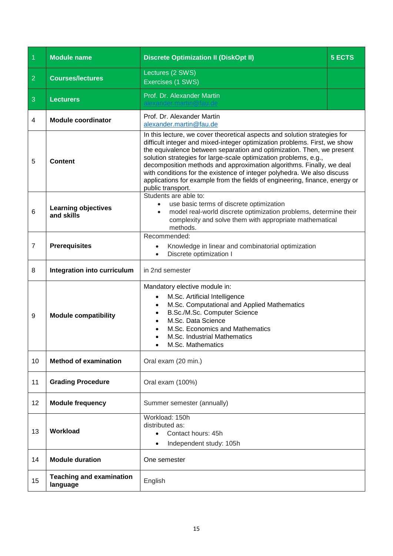<span id="page-14-0"></span>

| $\overline{1}$ | <b>Module name</b>                          | <b>Discrete Optimization II (DiskOpt II)</b>                                                                                                                                                                                                                                                                                                                                                                                                                                                                                                               | <b>5 ECTS</b> |
|----------------|---------------------------------------------|------------------------------------------------------------------------------------------------------------------------------------------------------------------------------------------------------------------------------------------------------------------------------------------------------------------------------------------------------------------------------------------------------------------------------------------------------------------------------------------------------------------------------------------------------------|---------------|
| $\overline{2}$ | <b>Courses/lectures</b>                     | Lectures (2 SWS)<br>Exercises (1 SWS)                                                                                                                                                                                                                                                                                                                                                                                                                                                                                                                      |               |
| 3              | <b>Lecturers</b>                            | Prof. Dr. Alexander Martin                                                                                                                                                                                                                                                                                                                                                                                                                                                                                                                                 |               |
| 4              | <b>Module coordinator</b>                   | Prof. Dr. Alexander Martin<br>alexander.martin@fau.de                                                                                                                                                                                                                                                                                                                                                                                                                                                                                                      |               |
| 5              | <b>Content</b>                              | In this lecture, we cover theoretical aspects and solution strategies for<br>difficult integer and mixed-integer optimization problems. First, we show<br>the equivalence between separation and optimization. Then, we present<br>solution strategies for large-scale optimization problems, e.g.,<br>decomposition methods and approximation algorithms. Finally, we deal<br>with conditions for the existence of integer polyhedra. We also discuss<br>applications for example from the fields of engineering, finance, energy or<br>public transport. |               |
| 6              | <b>Learning objectives</b><br>and skills    | Students are able to:<br>use basic terms of discrete optimization<br>$\bullet$<br>model real-world discrete optimization problems, determine their<br>$\bullet$<br>complexity and solve them with appropriate mathematical<br>methods.                                                                                                                                                                                                                                                                                                                     |               |
| $\overline{7}$ | <b>Prerequisites</b>                        | Recommended:<br>Knowledge in linear and combinatorial optimization<br>Discrete optimization I                                                                                                                                                                                                                                                                                                                                                                                                                                                              |               |
| 8              | Integration into curriculum                 | in 2nd semester                                                                                                                                                                                                                                                                                                                                                                                                                                                                                                                                            |               |
| 9              | <b>Module compatibility</b>                 | Mandatory elective module in:<br>M.Sc. Artificial Intelligence<br>M.Sc. Computational and Applied Mathematics<br>B.Sc./M.Sc. Computer Science<br>M.Sc. Data Science<br>M.Sc. Economics and Mathematics<br>M.Sc. Industrial Mathematics<br>M.Sc. Mathematics                                                                                                                                                                                                                                                                                                |               |
| 10             | <b>Method of examination</b>                | Oral exam (20 min.)                                                                                                                                                                                                                                                                                                                                                                                                                                                                                                                                        |               |
| 11             | <b>Grading Procedure</b>                    | Oral exam (100%)                                                                                                                                                                                                                                                                                                                                                                                                                                                                                                                                           |               |
| 12             | <b>Module frequency</b>                     | Summer semester (annually)                                                                                                                                                                                                                                                                                                                                                                                                                                                                                                                                 |               |
| 13             | Workload                                    | Workload: 150h<br>distributed as:<br>Contact hours: 45h<br>Independent study: 105h                                                                                                                                                                                                                                                                                                                                                                                                                                                                         |               |
| 14             | <b>Module duration</b>                      | One semester                                                                                                                                                                                                                                                                                                                                                                                                                                                                                                                                               |               |
| 15             | <b>Teaching and examination</b><br>language | English                                                                                                                                                                                                                                                                                                                                                                                                                                                                                                                                                    |               |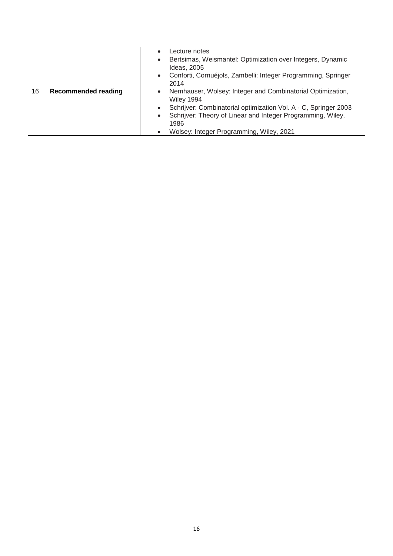|    |                            | Lecture notes<br>$\bullet$<br>Bertsimas, Weismantel: Optimization over Integers, Dynamic<br>$\bullet$<br>Ideas, 2005<br>• Conforti, Cornuéjols, Zambelli: Integer Programming, Springer<br>2014 |
|----|----------------------------|-------------------------------------------------------------------------------------------------------------------------------------------------------------------------------------------------|
| 16 | <b>Recommended reading</b> | Nemhauser, Wolsey: Integer and Combinatorial Optimization,<br>$\bullet$<br>Wiley 1994<br>Schrijver: Combinatorial optimization Vol. A - C, Springer 2003<br>$\bullet$                           |
|    |                            | Schrijver: Theory of Linear and Integer Programming, Wiley,<br>$\bullet$                                                                                                                        |
|    |                            | 1986                                                                                                                                                                                            |
|    |                            | Wolsey: Integer Programming, Wiley, 2021<br>$\bullet$                                                                                                                                           |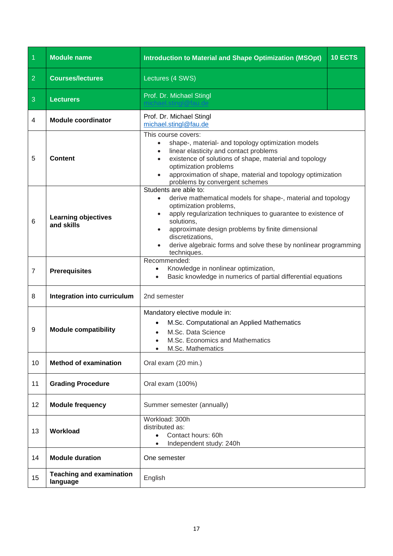<span id="page-16-0"></span>

| $\overline{1}$ | <b>Module name</b>                          | <b>Introduction to Material and Shape Optimization (MSOpt)</b>                                                                                                                                                                                                                                                                                                                                               | 10 ECTS |
|----------------|---------------------------------------------|--------------------------------------------------------------------------------------------------------------------------------------------------------------------------------------------------------------------------------------------------------------------------------------------------------------------------------------------------------------------------------------------------------------|---------|
| $\overline{2}$ | <b>Courses/lectures</b>                     | Lectures (4 SWS)                                                                                                                                                                                                                                                                                                                                                                                             |         |
| 3              | <b>Lecturers</b>                            | Prof. Dr. Michael Stingl                                                                                                                                                                                                                                                                                                                                                                                     |         |
| 4              | <b>Module coordinator</b>                   | Prof. Dr. Michael Stingl<br>michael.stingl@fau.de                                                                                                                                                                                                                                                                                                                                                            |         |
| 5              | <b>Content</b>                              | This course covers:<br>shape-, material- and topology optimization models<br>$\bullet$<br>linear elasticity and contact problems<br>$\bullet$<br>existence of solutions of shape, material and topology<br>$\bullet$<br>optimization problems<br>approximation of shape, material and topology optimization<br>$\bullet$<br>problems by convergent schemes                                                   |         |
| 6              | <b>Learning objectives</b><br>and skills    | Students are able to:<br>derive mathematical models for shape-, material and topology<br>$\bullet$<br>optimization problems,<br>apply regularization techniques to guarantee to existence of<br>$\bullet$<br>solutions,<br>approximate design problems by finite dimensional<br>$\bullet$<br>discretizations.<br>derive algebraic forms and solve these by nonlinear programming<br>$\bullet$<br>techniques. |         |
| $\overline{7}$ | <b>Prerequisites</b>                        | Recommended:<br>Knowledge in nonlinear optimization,<br>$\bullet$<br>Basic knowledge in numerics of partial differential equations                                                                                                                                                                                                                                                                           |         |
| 8              | Integration into curriculum                 | 2nd semester                                                                                                                                                                                                                                                                                                                                                                                                 |         |
| 9              | <b>Module compatibility</b>                 | Mandatory elective module in:<br>M.Sc. Computational an Applied Mathematics<br>M.Sc. Data Science<br>M.Sc. Economics and Mathematics<br>M.Sc. Mathematics                                                                                                                                                                                                                                                    |         |
| 10             | <b>Method of examination</b>                | Oral exam (20 min.)                                                                                                                                                                                                                                                                                                                                                                                          |         |
| 11             | <b>Grading Procedure</b>                    | Oral exam (100%)                                                                                                                                                                                                                                                                                                                                                                                             |         |
| 12             | <b>Module frequency</b>                     | Summer semester (annually)                                                                                                                                                                                                                                                                                                                                                                                   |         |
| 13             | Workload                                    | Workload: 300h<br>distributed as:<br>Contact hours: 60h<br>Independent study: 240h                                                                                                                                                                                                                                                                                                                           |         |
| 14             | <b>Module duration</b>                      | One semester                                                                                                                                                                                                                                                                                                                                                                                                 |         |
| 15             | <b>Teaching and examination</b><br>language | English                                                                                                                                                                                                                                                                                                                                                                                                      |         |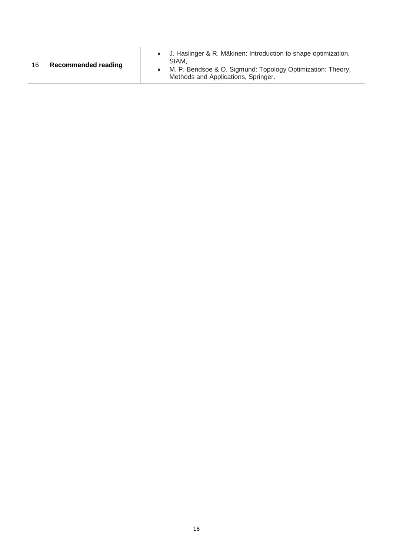| 16 | <b>Recommended reading</b> | J. Haslinger & R. Mäkinen: Introduction to shape optimization,<br>SIAM.<br>M. P. Bendsoe & O. Sigmund: Topology Optimization: Theory,<br>Methods and Applications, Springer. |
|----|----------------------------|------------------------------------------------------------------------------------------------------------------------------------------------------------------------------|
|----|----------------------------|------------------------------------------------------------------------------------------------------------------------------------------------------------------------------|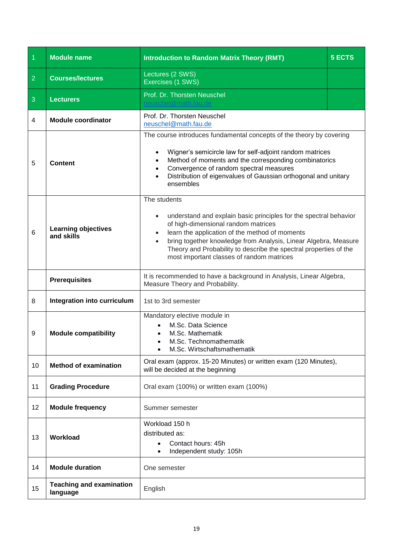<span id="page-18-0"></span>

| $\overline{1}$ | <b>Module name</b>                          | <b>Introduction to Random Matrix Theory (RMT)</b>                                                                                                                                                                                                                                                                                                                            | <b>5 ECTS</b> |
|----------------|---------------------------------------------|------------------------------------------------------------------------------------------------------------------------------------------------------------------------------------------------------------------------------------------------------------------------------------------------------------------------------------------------------------------------------|---------------|
| $\overline{2}$ | <b>Courses/lectures</b>                     | Lectures (2 SWS)<br>Exercises (1 SWS)                                                                                                                                                                                                                                                                                                                                        |               |
| 3              | <b>Lecturers</b>                            | Prof. Dr. Thorsten Neuschel                                                                                                                                                                                                                                                                                                                                                  |               |
| 4              | <b>Module coordinator</b>                   | Prof. Dr. Thorsten Neuschel<br>neuschel@math.fau.de                                                                                                                                                                                                                                                                                                                          |               |
| 5              | <b>Content</b>                              | The course introduces fundamental concepts of the theory by covering<br>Wigner's semicircle law for self-adjoint random matrices<br>Method of moments and the corresponding combinatorics<br>Convergence of random spectral measures<br>Distribution of eigenvalues of Gaussian orthogonal and unitary<br>ensembles                                                          |               |
| 6              | <b>Learning objectives</b><br>and skills    | The students<br>understand and explain basic principles for the spectral behavior<br>$\bullet$<br>of high-dimensional random matrices<br>learn the application of the method of moments<br>bring together knowledge from Analysis, Linear Algebra, Measure<br>Theory and Probability to describe the spectral properties of the<br>most important classes of random matrices |               |
|                | <b>Prerequisites</b>                        | It is recommended to have a background in Analysis, Linear Algebra,<br>Measure Theory and Probability.                                                                                                                                                                                                                                                                       |               |
| 8              | Integration into curriculum                 | 1st to 3rd semester                                                                                                                                                                                                                                                                                                                                                          |               |
| 9              | <b>Module compatibility</b>                 | Mandatory elective module in<br>M.Sc. Data Science<br>M.Sc. Mathematik<br>M.Sc. Technomathematik<br>M.Sc. Wirtschaftsmathematik                                                                                                                                                                                                                                              |               |
| 10             | <b>Method of examination</b>                | Oral exam (approx. 15-20 Minutes) or written exam (120 Minutes),<br>will be decided at the beginning                                                                                                                                                                                                                                                                         |               |
| 11             | <b>Grading Procedure</b>                    | Oral exam (100%) or written exam (100%)                                                                                                                                                                                                                                                                                                                                      |               |
| 12             | <b>Module frequency</b>                     | Summer semester                                                                                                                                                                                                                                                                                                                                                              |               |
| 13             | Workload                                    | Workload 150 h<br>distributed as:<br>Contact hours: 45h<br>Independent study: 105h                                                                                                                                                                                                                                                                                           |               |
| 14             | <b>Module duration</b>                      | One semester                                                                                                                                                                                                                                                                                                                                                                 |               |
| 15             | <b>Teaching and examination</b><br>language | English                                                                                                                                                                                                                                                                                                                                                                      |               |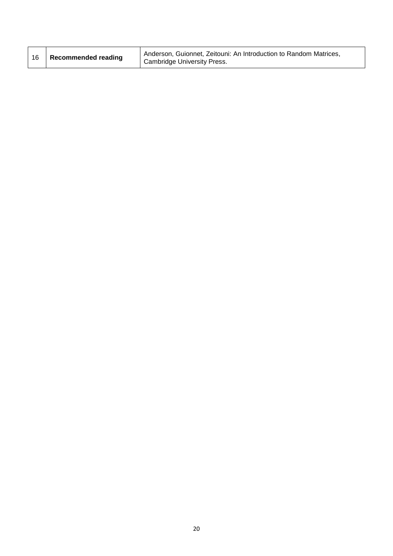| 16 | Recommended reading | Anderson, Guionnet, Zeitouni: An Introduction to Random Matrices,<br><b>Cambridge University Press.</b> |
|----|---------------------|---------------------------------------------------------------------------------------------------------|
|----|---------------------|---------------------------------------------------------------------------------------------------------|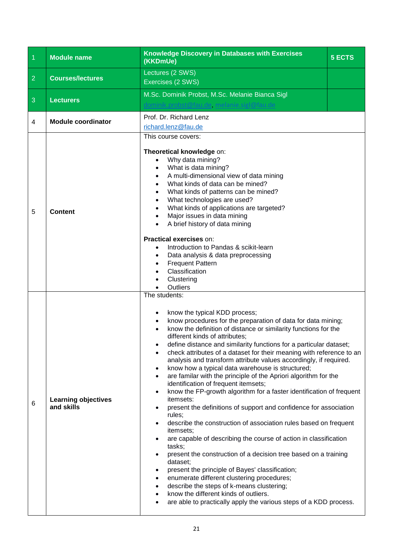<span id="page-20-0"></span>

| $\overline{1}$ | <b>Module name</b>                       | Knowledge Discovery in Databases with Exercises<br>(KKDmUe)                                                                                                                                                                                                                                                                                                                                                                                                                                                                                                                                                                                                                                                                                                                                                                                                                                                                                                                                                                                                                                                                                                                                                                                                                                                                                          | <b>5 ECTS</b> |
|----------------|------------------------------------------|------------------------------------------------------------------------------------------------------------------------------------------------------------------------------------------------------------------------------------------------------------------------------------------------------------------------------------------------------------------------------------------------------------------------------------------------------------------------------------------------------------------------------------------------------------------------------------------------------------------------------------------------------------------------------------------------------------------------------------------------------------------------------------------------------------------------------------------------------------------------------------------------------------------------------------------------------------------------------------------------------------------------------------------------------------------------------------------------------------------------------------------------------------------------------------------------------------------------------------------------------------------------------------------------------------------------------------------------------|---------------|
| $\overline{2}$ | <b>Courses/lectures</b>                  | Lectures (2 SWS)<br>Exercises (2 SWS)                                                                                                                                                                                                                                                                                                                                                                                                                                                                                                                                                                                                                                                                                                                                                                                                                                                                                                                                                                                                                                                                                                                                                                                                                                                                                                                |               |
| 3              | <b>Lecturers</b>                         | M.Sc. Dominik Probst, M.Sc. Melanie Bianca Sigl                                                                                                                                                                                                                                                                                                                                                                                                                                                                                                                                                                                                                                                                                                                                                                                                                                                                                                                                                                                                                                                                                                                                                                                                                                                                                                      |               |
| 4              | <b>Module coordinator</b>                | Prof. Dr. Richard Lenz<br>richard.lenz@fau.de<br>This course covers:<br>Theoretical knowledge on:<br>Why data mining?<br>$\bullet$                                                                                                                                                                                                                                                                                                                                                                                                                                                                                                                                                                                                                                                                                                                                                                                                                                                                                                                                                                                                                                                                                                                                                                                                                   |               |
| 5              | <b>Content</b>                           | What is data mining?<br>A multi-dimensional view of data mining<br>What kinds of data can be mined?<br>What kinds of patterns can be mined?<br>$\bullet$<br>What technologies are used?<br>What kinds of applications are targeted?<br>Major issues in data mining<br>A brief history of data mining                                                                                                                                                                                                                                                                                                                                                                                                                                                                                                                                                                                                                                                                                                                                                                                                                                                                                                                                                                                                                                                 |               |
|                |                                          | Practical exercises on:<br>Introduction to Pandas & scikit-learn<br>Data analysis & data preprocessing<br><b>Frequent Pattern</b><br>Classification<br>Clustering<br>Outliers                                                                                                                                                                                                                                                                                                                                                                                                                                                                                                                                                                                                                                                                                                                                                                                                                                                                                                                                                                                                                                                                                                                                                                        |               |
| 6              | <b>Learning objectives</b><br>and skills | The students:<br>know the typical KDD process;<br>know procedures for the preparation of data for data mining;<br>know the definition of distance or similarity functions for the<br>different kinds of attributes;<br>define distance and similarity functions for a particular dataset;<br>check attributes of a dataset for their meaning with reference to an<br>analysis and transform attribute values accordingly, if required.<br>know how a typical data warehouse is structured;<br>$\bullet$<br>are familar with the principle of the Apriori algorithm for the<br>$\bullet$<br>identification of frequent itemsets;<br>know the FP-growth algorithm for a faster identification of frequent<br>$\bullet$<br>itemsets:<br>present the definitions of support and confidence for association<br>$\bullet$<br>rules;<br>describe the construction of association rules based on frequent<br>$\bullet$<br>itemsets;<br>are capable of describing the course of action in classification<br>tasks;<br>present the construction of a decision tree based on a training<br>dataset;<br>present the principle of Bayes' classification;<br>enumerate different clustering procedures;<br>describe the steps of k-means clustering;<br>know the different kinds of outliers.<br>are able to practically apply the various steps of a KDD process. |               |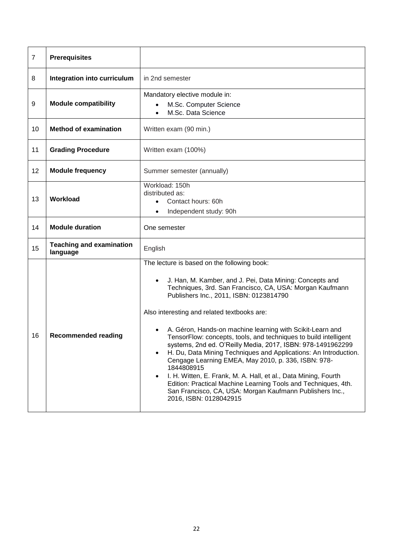| $\overline{7}$ | <b>Prerequisites</b>                        |                                                                                                                                                                                                                                                                                                                                                                                                                                                                                                                                                                                                                                                                                                                                                                                                                                                             |
|----------------|---------------------------------------------|-------------------------------------------------------------------------------------------------------------------------------------------------------------------------------------------------------------------------------------------------------------------------------------------------------------------------------------------------------------------------------------------------------------------------------------------------------------------------------------------------------------------------------------------------------------------------------------------------------------------------------------------------------------------------------------------------------------------------------------------------------------------------------------------------------------------------------------------------------------|
| 8              | Integration into curriculum                 | in 2nd semester                                                                                                                                                                                                                                                                                                                                                                                                                                                                                                                                                                                                                                                                                                                                                                                                                                             |
| 9              | <b>Module compatibility</b>                 | Mandatory elective module in:<br>M.Sc. Computer Science<br>M.Sc. Data Science                                                                                                                                                                                                                                                                                                                                                                                                                                                                                                                                                                                                                                                                                                                                                                               |
| 10             | <b>Method of examination</b>                | Written exam (90 min.)                                                                                                                                                                                                                                                                                                                                                                                                                                                                                                                                                                                                                                                                                                                                                                                                                                      |
| 11             | <b>Grading Procedure</b>                    | Written exam (100%)                                                                                                                                                                                                                                                                                                                                                                                                                                                                                                                                                                                                                                                                                                                                                                                                                                         |
| 12             | <b>Module frequency</b>                     | Summer semester (annually)                                                                                                                                                                                                                                                                                                                                                                                                                                                                                                                                                                                                                                                                                                                                                                                                                                  |
| 13             | <b>Workload</b>                             | Workload: 150h<br>distributed as:<br>Contact hours: 60h<br>$\bullet$<br>Independent study: 90h<br>$\bullet$                                                                                                                                                                                                                                                                                                                                                                                                                                                                                                                                                                                                                                                                                                                                                 |
| 14             | <b>Module duration</b>                      | One semester                                                                                                                                                                                                                                                                                                                                                                                                                                                                                                                                                                                                                                                                                                                                                                                                                                                |
| 15             | <b>Teaching and examination</b><br>language | English                                                                                                                                                                                                                                                                                                                                                                                                                                                                                                                                                                                                                                                                                                                                                                                                                                                     |
| 16             | <b>Recommended reading</b>                  | The lecture is based on the following book:<br>J. Han, M. Kamber, and J. Pei, Data Mining: Concepts and<br>$\bullet$<br>Techniques, 3rd. San Francisco, CA, USA: Morgan Kaufmann<br>Publishers Inc., 2011, ISBN: 0123814790<br>Also interesting and related textbooks are:<br>A. Géron, Hands-on machine learning with Scikit-Learn and<br>TensorFlow: concepts, tools, and techniques to build intelligent<br>systems, 2nd ed. O'Reilly Media, 2017, ISBN: 978-1491962299<br>H. Du, Data Mining Techniques and Applications: An Introduction.<br>Cengage Learning EMEA, May 2010, p. 336, ISBN: 978-<br>1844808915<br>I. H. Witten, E. Frank, M. A. Hall, et al., Data Mining, Fourth<br>$\bullet$<br>Edition: Practical Machine Learning Tools and Techniques, 4th.<br>San Francisco, CA, USA: Morgan Kaufmann Publishers Inc.,<br>2016, ISBN: 0128042915 |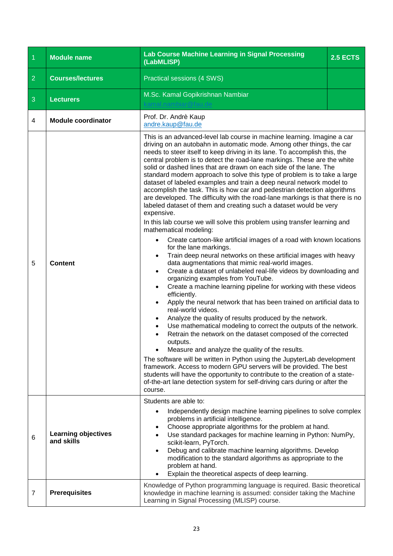<span id="page-22-0"></span>

| $\overline{1}$ | <b>Module name</b>                       | Lab Course Machine Learning in Signal Processing<br>(LabMLISP)                                                                                                                                                                                                                                                                                                                                                                                                                                                                                                                                                                                                                                                                                                                                                                                                                                                                                                                                                                                                                                                                                                                                                                                                                                                                                                                                                                                                                                                                                                                                                                                                                                                                                                                                                                                                                                                                 | <b>2.5 ECTS</b> |
|----------------|------------------------------------------|--------------------------------------------------------------------------------------------------------------------------------------------------------------------------------------------------------------------------------------------------------------------------------------------------------------------------------------------------------------------------------------------------------------------------------------------------------------------------------------------------------------------------------------------------------------------------------------------------------------------------------------------------------------------------------------------------------------------------------------------------------------------------------------------------------------------------------------------------------------------------------------------------------------------------------------------------------------------------------------------------------------------------------------------------------------------------------------------------------------------------------------------------------------------------------------------------------------------------------------------------------------------------------------------------------------------------------------------------------------------------------------------------------------------------------------------------------------------------------------------------------------------------------------------------------------------------------------------------------------------------------------------------------------------------------------------------------------------------------------------------------------------------------------------------------------------------------------------------------------------------------------------------------------------------------|-----------------|
| $\overline{2}$ | <b>Courses/lectures</b>                  | Practical sessions (4 SWS)                                                                                                                                                                                                                                                                                                                                                                                                                                                                                                                                                                                                                                                                                                                                                                                                                                                                                                                                                                                                                                                                                                                                                                                                                                                                                                                                                                                                                                                                                                                                                                                                                                                                                                                                                                                                                                                                                                     |                 |
| 3              | <b>Lecturers</b>                         | M.Sc. Kamal Gopikrishnan Nambiar                                                                                                                                                                                                                                                                                                                                                                                                                                                                                                                                                                                                                                                                                                                                                                                                                                                                                                                                                                                                                                                                                                                                                                                                                                                                                                                                                                                                                                                                                                                                                                                                                                                                                                                                                                                                                                                                                               |                 |
| 4              | <b>Module coordinator</b>                | Prof. Dr. Andrè Kaup<br>andre.kaup@fau.de                                                                                                                                                                                                                                                                                                                                                                                                                                                                                                                                                                                                                                                                                                                                                                                                                                                                                                                                                                                                                                                                                                                                                                                                                                                                                                                                                                                                                                                                                                                                                                                                                                                                                                                                                                                                                                                                                      |                 |
| 5              | <b>Content</b>                           | This is an advanced-level lab course in machine learning. Imagine a car<br>driving on an autobahn in automatic mode. Among other things, the car<br>needs to steer itself to keep driving in its lane. To accomplish this, the<br>central problem is to detect the road-lane markings. These are the white<br>solid or dashed lines that are drawn on each side of the lane. The<br>standard modern approach to solve this type of problem is to take a large<br>dataset of labeled examples and train a deep neural network model to<br>accomplish the task. This is how car and pedestrian detection algorithms<br>are developed. The difficulty with the road-lane markings is that there is no<br>labeled dataset of them and creating such a dataset would be very<br>expensive.<br>In this lab course we will solve this problem using transfer learning and<br>mathematical modeling:<br>Create cartoon-like artificial images of a road with known locations<br>for the lane markings.<br>Train deep neural networks on these artificial images with heavy<br>data augmentations that mimic real-world images.<br>Create a dataset of unlabeled real-life videos by downloading and<br>organizing examples from YouTube.<br>Create a machine learning pipeline for working with these videos<br>efficiently.<br>Apply the neural network that has been trained on artificial data to<br>real-world videos.<br>Analyze the quality of results produced by the network.<br>Use mathematical modeling to correct the outputs of the network.<br>Retrain the network on the dataset composed of the corrected<br>outputs.<br>Measure and analyze the quality of the results.<br>$\bullet$<br>The software will be written in Python using the JupyterLab development<br>framework. Access to modern GPU servers will be provided. The best<br>students will have the opportunity to contribute to the creation of a state- |                 |
| 6              | <b>Learning objectives</b><br>and skills | Students are able to:<br>Independently design machine learning pipelines to solve complex<br>problems in artificial intelligence.<br>Choose appropriate algorithms for the problem at hand.<br>$\bullet$<br>Use standard packages for machine learning in Python: NumPy,<br>scikit-learn, PyTorch.<br>Debug and calibrate machine learning algorithms. Develop<br>$\bullet$<br>modification to the standard algorithms as appropriate to the<br>problem at hand.<br>Explain the theoretical aspects of deep learning.                                                                                                                                                                                                                                                                                                                                                                                                                                                                                                                                                                                                                                                                                                                                                                                                                                                                                                                                                                                                                                                                                                                                                                                                                                                                                                                                                                                                          |                 |
| 7              | <b>Prerequisites</b>                     | Knowledge of Python programming language is required. Basic theoretical<br>knowledge in machine learning is assumed: consider taking the Machine<br>Learning in Signal Processing (MLISP) course.                                                                                                                                                                                                                                                                                                                                                                                                                                                                                                                                                                                                                                                                                                                                                                                                                                                                                                                                                                                                                                                                                                                                                                                                                                                                                                                                                                                                                                                                                                                                                                                                                                                                                                                              |                 |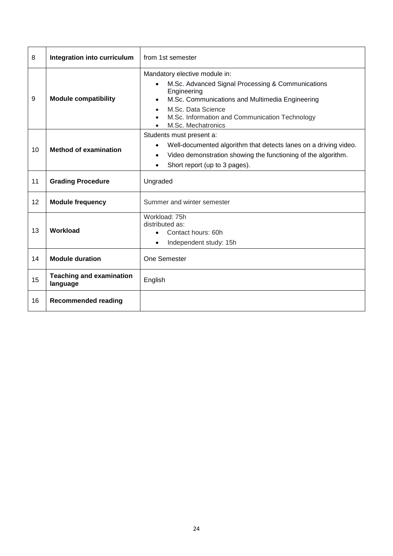| 8  | Integration into curriculum                 | from 1st semester                                                                                                                                                                                                                                               |
|----|---------------------------------------------|-----------------------------------------------------------------------------------------------------------------------------------------------------------------------------------------------------------------------------------------------------------------|
| 9  | <b>Module compatibility</b>                 | Mandatory elective module in:<br>M.Sc. Advanced Signal Processing & Communications<br>$\bullet$<br>Engineering<br>M.Sc. Communications and Multimedia Engineering<br>M.Sc. Data Science<br>M.Sc. Information and Communication Technology<br>M.Sc. Mechatronics |
| 10 | <b>Method of examination</b>                | Students must present a:<br>Well-documented algorithm that detects lanes on a driving video.<br>$\bullet$<br>Video demonstration showing the functioning of the algorithm.<br>$\bullet$<br>Short report (up to 3 pages).<br>$\bullet$                           |
| 11 | <b>Grading Procedure</b>                    | Ungraded                                                                                                                                                                                                                                                        |
| 12 | <b>Module frequency</b>                     | Summer and winter semester                                                                                                                                                                                                                                      |
| 13 | Workload                                    | Workload: 75h<br>distributed as:<br>Contact hours: 60h<br>Independent study: 15h                                                                                                                                                                                |
| 14 | <b>Module duration</b>                      | One Semester                                                                                                                                                                                                                                                    |
| 15 | <b>Teaching and examination</b><br>language | English                                                                                                                                                                                                                                                         |
| 16 | <b>Recommended reading</b>                  |                                                                                                                                                                                                                                                                 |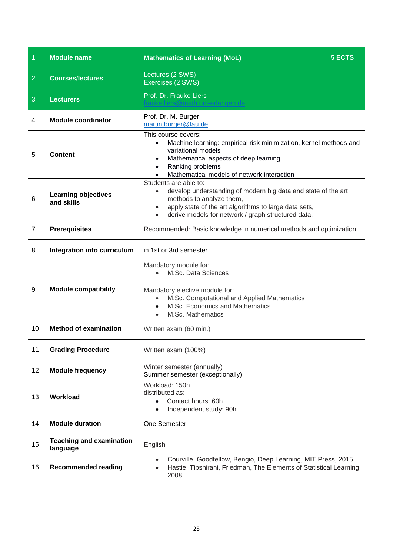<span id="page-24-0"></span>

| $\overline{1}$ | <b>Module name</b>                          | <b>Mathematics of Learning (MoL)</b>                                                                                                                                                                                                                             | <b>5 ECTS</b> |
|----------------|---------------------------------------------|------------------------------------------------------------------------------------------------------------------------------------------------------------------------------------------------------------------------------------------------------------------|---------------|
| $\overline{2}$ | <b>Courses/lectures</b>                     | Lectures (2 SWS)<br>Exercises (2 SWS)                                                                                                                                                                                                                            |               |
| 3              | <b>Lecturers</b>                            | Prof. Dr. Frauke Liers<br>@math.uni-erlangen.de                                                                                                                                                                                                                  |               |
| 4              | <b>Module coordinator</b>                   | Prof. Dr. M. Burger<br>martin.burger@fau.de                                                                                                                                                                                                                      |               |
| 5              | <b>Content</b>                              | This course covers:<br>Machine learning: empirical risk minimization, kernel methods and<br>$\bullet$<br>variational models<br>Mathematical aspects of deep learning<br>$\bullet$<br>Ranking problems<br>$\bullet$<br>Mathematical models of network interaction |               |
| 6              | <b>Learning objectives</b><br>and skills    | Students are able to:<br>develop understanding of modern big data and state of the art<br>methods to analyze them,<br>apply state of the art algorithms to large data sets,<br>$\bullet$<br>derive models for network / graph structured data.                   |               |
| $\overline{7}$ | <b>Prerequisites</b>                        | Recommended: Basic knowledge in numerical methods and optimization                                                                                                                                                                                               |               |
| 8              | Integration into curriculum                 | in 1st or 3rd semester                                                                                                                                                                                                                                           |               |
| 9              | <b>Module compatibility</b>                 | Mandatory module for:<br>M.Sc. Data Sciences<br>$\bullet$<br>Mandatory elective module for:<br>M.Sc. Computational and Applied Mathematics<br>$\bullet$<br>M.Sc. Economics and Mathematics<br>M.Sc. Mathematics                                                  |               |
| 10             | <b>Method of examination</b>                | Written exam (60 min.)                                                                                                                                                                                                                                           |               |
| 11             | <b>Grading Procedure</b>                    | Written exam (100%)                                                                                                                                                                                                                                              |               |
| 12             | <b>Module frequency</b>                     | Winter semester (annually)<br>Summer semester (exceptionally)                                                                                                                                                                                                    |               |
| 13             | Workload                                    | Workload: 150h<br>distributed as:<br>Contact hours: 60h<br>$\bullet$<br>Independent study: 90h                                                                                                                                                                   |               |
| 14             | <b>Module duration</b>                      | One Semester                                                                                                                                                                                                                                                     |               |
| 15             | <b>Teaching and examination</b><br>language | English                                                                                                                                                                                                                                                          |               |
| 16             | <b>Recommended reading</b>                  | Courville, Goodfellow, Bengio, Deep Learning, MIT Press, 2015<br>$\bullet$<br>Hastie, Tibshirani, Friedman, The Elements of Statistical Learning,<br>$\bullet$<br>2008                                                                                           |               |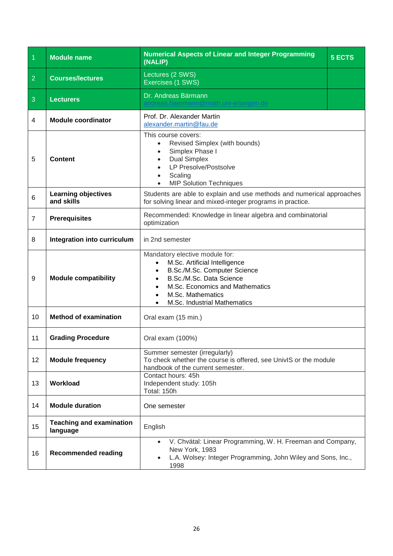<span id="page-25-0"></span>

| $\vert$ 1      | <b>Module name</b>                          | <b>Numerical Aspects of Linear and Integer Programming</b><br>(NALIP)                                                                                                                                                    | 5 ECTS |
|----------------|---------------------------------------------|--------------------------------------------------------------------------------------------------------------------------------------------------------------------------------------------------------------------------|--------|
| $\overline{2}$ | <b>Courses/lectures</b>                     | Lectures (2 SWS)<br>Exercises (1 SWS)                                                                                                                                                                                    |        |
| $\mathbf{3}$   | <b>Lecturers</b>                            | Dr. Andreas Bärmann<br>math.uni-erlangen.de!                                                                                                                                                                             |        |
| 4              | <b>Module coordinator</b>                   | Prof. Dr. Alexander Martin<br>alexander.martin@fau.de                                                                                                                                                                    |        |
| 5              | <b>Content</b>                              | This course covers:<br>Revised Simplex (with bounds)<br>$\bullet$<br>Simplex Phase I<br>$\bullet$<br><b>Dual Simplex</b><br>$\bullet$<br>LP Presolve/Postsolve<br>$\bullet$<br>Scaling<br><b>MIP Solution Techniques</b> |        |
| 6              | <b>Learning objectives</b><br>and skills    | Students are able to explain and use methods and numerical approaches<br>for solving linear and mixed-integer programs in practice.                                                                                      |        |
| $\overline{7}$ | <b>Prerequisites</b>                        | Recommended: Knowledge in linear algebra and combinatorial<br>optimization                                                                                                                                               |        |
| 8              | Integration into curriculum                 | in 2nd semester                                                                                                                                                                                                          |        |
| 9              | <b>Module compatibility</b>                 | Mandatory elective module for:<br>M.Sc. Artificial Intelligence<br>B.Sc./M.Sc. Computer Science<br>B.Sc./M.Sc. Data Science<br>M.Sc. Economics and Mathematics<br>M.Sc. Mathematics<br>M.Sc. Industrial Mathematics      |        |
| 10             | <b>Method of examination</b>                | Oral exam (15 min.)                                                                                                                                                                                                      |        |
| 11             | <b>Grading Procedure</b>                    | Oral exam (100%)                                                                                                                                                                                                         |        |
| 12             | <b>Module frequency</b>                     | Summer semester (irregularly)<br>To check whether the course is offered, see UnivIS or the module<br>handbook of the current semester.                                                                                   |        |
| 13             | Workload                                    | Contact hours: 45h<br>Independent study: 105h<br>Total: 150h                                                                                                                                                             |        |
| 14             | <b>Module duration</b>                      | One semester                                                                                                                                                                                                             |        |
| 15             | <b>Teaching and examination</b><br>language | English                                                                                                                                                                                                                  |        |
| 16             | <b>Recommended reading</b>                  | V. Chvátal: Linear Programming, W. H. Freeman and Company,<br>New York, 1983<br>L.A. Wolsey: Integer Programming, John Wiley and Sons, Inc.,<br>1998                                                                     |        |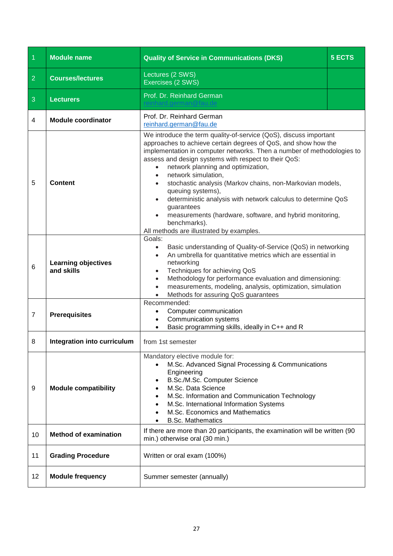<span id="page-26-0"></span>

| $\overline{1}$ | <b>Module name</b>                       | <b>Quality of Service in Communications (DKS)</b>                                                                                                                                                                                                                                                                                                                                                                                                                                                                                                                                                                                                                                            | 5 ECTS |
|----------------|------------------------------------------|----------------------------------------------------------------------------------------------------------------------------------------------------------------------------------------------------------------------------------------------------------------------------------------------------------------------------------------------------------------------------------------------------------------------------------------------------------------------------------------------------------------------------------------------------------------------------------------------------------------------------------------------------------------------------------------------|--------|
| $\overline{2}$ | <b>Courses/lectures</b>                  | Lectures (2 SWS)<br>Exercises (2 SWS)                                                                                                                                                                                                                                                                                                                                                                                                                                                                                                                                                                                                                                                        |        |
| 3              | <b>Lecturers</b>                         | Prof. Dr. Reinhard German                                                                                                                                                                                                                                                                                                                                                                                                                                                                                                                                                                                                                                                                    |        |
| $\overline{4}$ | <b>Module coordinator</b>                | Prof. Dr. Reinhard German<br>reinhard.german@fau.de                                                                                                                                                                                                                                                                                                                                                                                                                                                                                                                                                                                                                                          |        |
| 5              | <b>Content</b>                           | We introduce the term quality-of-service (QoS), discuss important<br>approaches to achieve certain degrees of QoS, and show how the<br>implementation in computer networks. Then a number of methodologies to<br>assess and design systems with respect to their QoS:<br>network planning and optimization,<br>$\bullet$<br>network simulation,<br>$\bullet$<br>stochastic analysis (Markov chains, non-Markovian models,<br>$\bullet$<br>queuing systems),<br>deterministic analysis with network calculus to determine QoS<br>$\bullet$<br>guarantees<br>measurements (hardware, software, and hybrid monitoring,<br>$\bullet$<br>benchmarks).<br>All methods are illustrated by examples. |        |
| 6              | <b>Learning objectives</b><br>and skills | Goals:<br>Basic understanding of Quality-of-Service (QoS) in networking<br>$\bullet$<br>An umbrella for quantitative metrics which are essential in<br>networking<br>Techniques for achieving QoS<br>$\bullet$<br>Methodology for performance evaluation and dimensioning:<br>$\bullet$<br>measurements, modeling, analysis, optimization, simulation<br>Methods for assuring QoS guarantees<br>$\bullet$                                                                                                                                                                                                                                                                                    |        |
| $\overline{7}$ | <b>Prerequisites</b>                     | Recommended:<br>Computer communication<br>Communication systems<br>Basic programming skills, ideally in C++ and R                                                                                                                                                                                                                                                                                                                                                                                                                                                                                                                                                                            |        |
| 8              | Integration into curriculum              | from 1st semester                                                                                                                                                                                                                                                                                                                                                                                                                                                                                                                                                                                                                                                                            |        |
| 9              | <b>Module compatibility</b>              | Mandatory elective module for:<br>M.Sc. Advanced Signal Processing & Communications<br>Engineering<br>B.Sc./M.Sc. Computer Science<br>M.Sc. Data Science<br>M.Sc. Information and Communication Technology<br>M.Sc. International Information Systems<br>M.Sc. Economics and Mathematics<br><b>B.Sc. Mathematics</b>                                                                                                                                                                                                                                                                                                                                                                         |        |
| 10             | <b>Method of examination</b>             | If there are more than 20 participants, the examination will be written (90<br>min.) otherwise oral (30 min.)                                                                                                                                                                                                                                                                                                                                                                                                                                                                                                                                                                                |        |
| 11             | <b>Grading Procedure</b>                 | Written or oral exam (100%)                                                                                                                                                                                                                                                                                                                                                                                                                                                                                                                                                                                                                                                                  |        |
| 12             | <b>Module frequency</b>                  | Summer semester (annually)                                                                                                                                                                                                                                                                                                                                                                                                                                                                                                                                                                                                                                                                   |        |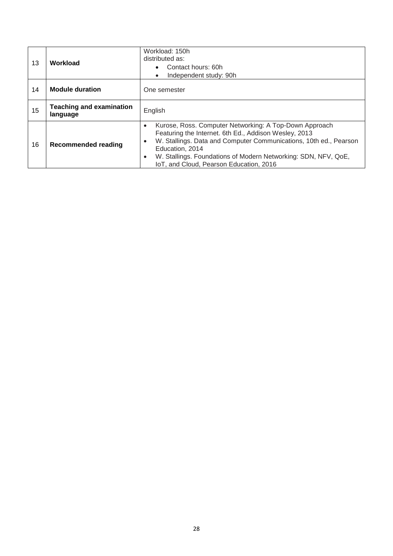| 13 | Workload                                    | Workload: 150h<br>distributed as:<br>Contact hours: 60h<br>٠<br>Independent study: 90h<br>$\bullet$                                                                                                                                                                                                                                                         |
|----|---------------------------------------------|-------------------------------------------------------------------------------------------------------------------------------------------------------------------------------------------------------------------------------------------------------------------------------------------------------------------------------------------------------------|
| 14 | <b>Module duration</b>                      | One semester                                                                                                                                                                                                                                                                                                                                                |
| 15 | <b>Teaching and examination</b><br>language | English                                                                                                                                                                                                                                                                                                                                                     |
| 16 | <b>Recommended reading</b>                  | Kurose, Ross. Computer Networking: A Top-Down Approach<br>$\bullet$<br>Featuring the Internet. 6th Ed., Addison Wesley, 2013<br>W. Stallings. Data and Computer Communications, 10th ed., Pearson<br>$\bullet$<br>Education, 2014<br>W. Stallings. Foundations of Modern Networking: SDN, NFV, QoE,<br>$\bullet$<br>IoT, and Cloud, Pearson Education, 2016 |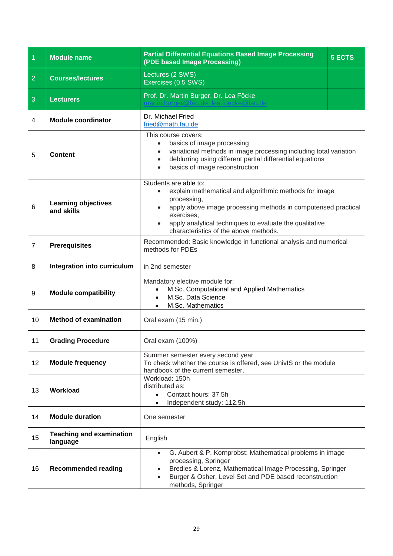<span id="page-28-0"></span>

| $\overline{1}$ | <b>Module name</b>                          | <b>Partial Differential Equations Based Image Processing</b><br>(PDE based Image Processing)                                                                                                                                                                                       | <b>5 ECTS</b> |
|----------------|---------------------------------------------|------------------------------------------------------------------------------------------------------------------------------------------------------------------------------------------------------------------------------------------------------------------------------------|---------------|
| $\overline{2}$ | <b>Courses/lectures</b>                     | Lectures (2 SWS)<br>Exercises (0.5 SWS)                                                                                                                                                                                                                                            |               |
| 3              | <b>Lecturers</b>                            | Prof. Dr. Martin Burger, Dr. Lea Föcke                                                                                                                                                                                                                                             |               |
| 4              | <b>Module coordinator</b>                   | Dr. Michael Fried<br>fried@math.fau.de                                                                                                                                                                                                                                             |               |
| 5              | <b>Content</b>                              | This course covers:<br>basics of image processing<br>$\bullet$<br>variational methods in image processing including total variation<br>$\bullet$<br>deblurring using different partial differential equations<br>$\bullet$<br>basics of image reconstruction<br>$\bullet$          |               |
| 6              | <b>Learning objectives</b><br>and skills    | Students are able to:<br>explain mathematical and algorithmic methods for image<br>processing,<br>apply above image processing methods in computerised practical<br>exercises,<br>apply analytical techniques to evaluate the qualitative<br>characteristics of the above methods. |               |
| $\overline{7}$ | <b>Prerequisites</b>                        | Recommended: Basic knowledge in functional analysis and numerical<br>methods for PDEs                                                                                                                                                                                              |               |
| 8              | Integration into curriculum                 | in 2nd semester                                                                                                                                                                                                                                                                    |               |
| 9              | <b>Module compatibility</b>                 | Mandatory elective module for:<br>M.Sc. Computational and Applied Mathematics<br>M.Sc. Data Science<br>M.Sc. Mathematics<br>$\bullet$                                                                                                                                              |               |
| 10             | <b>Method of examination</b>                | Oral exam (15 min.)                                                                                                                                                                                                                                                                |               |
| 11             | <b>Grading Procedure</b>                    | Oral exam (100%)                                                                                                                                                                                                                                                                   |               |
| 12             | <b>Module frequency</b>                     | Summer semester every second year<br>To check whether the course is offered, see UnivIS or the module<br>handbook of the current semester.                                                                                                                                         |               |
| 13             | Workload                                    | Workload: 150h<br>distributed as:<br>Contact hours: 37.5h<br>Independent study: 112.5h                                                                                                                                                                                             |               |
| 14             | <b>Module duration</b>                      | One semester                                                                                                                                                                                                                                                                       |               |
| 15             | <b>Teaching and examination</b><br>language | English                                                                                                                                                                                                                                                                            |               |
| 16             | <b>Recommended reading</b>                  | G. Aubert & P. Kornprobst: Mathematical problems in image<br>$\bullet$<br>processing, Springer<br>Bredies & Lorenz, Mathematical Image Processing, Springer<br>٠<br>Burger & Osher, Level Set and PDE based reconstruction<br>$\bullet$<br>methods, Springer                       |               |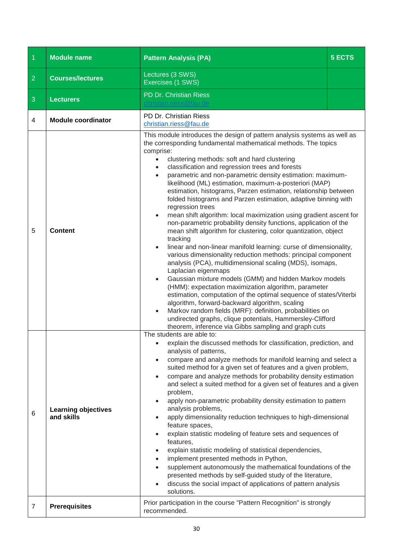<span id="page-29-0"></span>

| $\overline{1}$ | <b>Module name</b>                       | <b>Pattern Analysis (PA)</b>                                                                                                                                                                                                                                                                                                                                                                                                                                                                                                                                                                                                                                                                                                                                                                                                                                                                                                                                                                                                                                                                                                                                                                                                                                                                                                                                                                                                                      | <b>5 ECTS</b> |
|----------------|------------------------------------------|---------------------------------------------------------------------------------------------------------------------------------------------------------------------------------------------------------------------------------------------------------------------------------------------------------------------------------------------------------------------------------------------------------------------------------------------------------------------------------------------------------------------------------------------------------------------------------------------------------------------------------------------------------------------------------------------------------------------------------------------------------------------------------------------------------------------------------------------------------------------------------------------------------------------------------------------------------------------------------------------------------------------------------------------------------------------------------------------------------------------------------------------------------------------------------------------------------------------------------------------------------------------------------------------------------------------------------------------------------------------------------------------------------------------------------------------------|---------------|
| $\overline{2}$ | <b>Courses/lectures</b>                  | Lectures (3 SWS)<br>Exercises (1 SWS)                                                                                                                                                                                                                                                                                                                                                                                                                                                                                                                                                                                                                                                                                                                                                                                                                                                                                                                                                                                                                                                                                                                                                                                                                                                                                                                                                                                                             |               |
| $\mathbf{3}$   | <b>Lecturers</b>                         | PD Dr. Christian Riess                                                                                                                                                                                                                                                                                                                                                                                                                                                                                                                                                                                                                                                                                                                                                                                                                                                                                                                                                                                                                                                                                                                                                                                                                                                                                                                                                                                                                            |               |
| 4              | <b>Module coordinator</b>                | PD Dr. Christian Riess<br>christian.riess@fau.de                                                                                                                                                                                                                                                                                                                                                                                                                                                                                                                                                                                                                                                                                                                                                                                                                                                                                                                                                                                                                                                                                                                                                                                                                                                                                                                                                                                                  |               |
| 5              | <b>Content</b>                           | This module introduces the design of pattern analysis systems as well as<br>the corresponding fundamental mathematical methods. The topics<br>comprise:<br>clustering methods: soft and hard clustering<br>$\bullet$<br>classification and regression trees and forests<br>parametric and non-parametric density estimation: maximum-<br>likelihood (ML) estimation, maximum-a-posteriori (MAP)<br>estimation, histograms, Parzen estimation, relationship between<br>folded histograms and Parzen estimation, adaptive binning with<br>regression trees<br>mean shift algorithm: local maximization using gradient ascent for<br>non-parametric probability density functions, application of the<br>mean shift algorithm for clustering, color quantization, object<br>tracking<br>linear and non-linear manifold learning: curse of dimensionality,<br>$\bullet$<br>various dimensionality reduction methods: principal component<br>analysis (PCA), multidimensional scaling (MDS), isomaps,<br>Laplacian eigenmaps<br>Gaussian mixture models (GMM) and hidden Markov models<br>(HMM): expectation maximization algorithm, parameter<br>estimation, computation of the optimal sequence of states/Viterbi<br>algorithm, forward-backward algorithm, scaling<br>Markov random fields (MRF): definition, probabilities on<br>undirected graphs, clique potentials, Hammersley-Clifford<br>theorem, inference via Gibbs sampling and graph cuts |               |
| 6              | <b>Learning objectives</b><br>and skills | The students are able to:<br>explain the discussed methods for classification, prediction, and<br>analysis of patterns,<br>compare and analyze methods for manifold learning and select a<br>$\bullet$<br>suited method for a given set of features and a given problem,<br>compare and analyze methods for probability density estimation<br>$\bullet$<br>and select a suited method for a given set of features and a given<br>problem,<br>apply non-parametric probability density estimation to pattern<br>analysis problems,<br>apply dimensionality reduction techniques to high-dimensional<br>feature spaces,<br>explain statistic modeling of feature sets and sequences of<br>features,<br>explain statistic modeling of statistical dependencies,<br>implement presented methods in Python,<br>supplement autonomously the mathematical foundations of the<br>presented methods by self-guided study of the literature,<br>discuss the social impact of applications of pattern analysis<br>solutions.                                                                                                                                                                                                                                                                                                                                                                                                                                 |               |
| $\overline{7}$ | <b>Prerequisites</b>                     | Prior participation in the course "Pattern Recognition" is strongly<br>recommended.                                                                                                                                                                                                                                                                                                                                                                                                                                                                                                                                                                                                                                                                                                                                                                                                                                                                                                                                                                                                                                                                                                                                                                                                                                                                                                                                                               |               |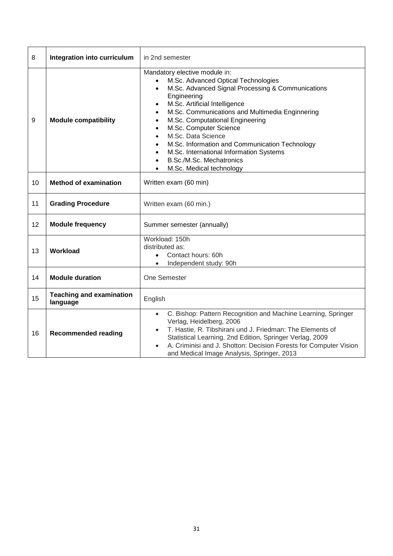| 8  | Integration into curriculum                 | in 2nd semester                                                                                                                                                                                                                                                                                                                                                                                                                                                                   |
|----|---------------------------------------------|-----------------------------------------------------------------------------------------------------------------------------------------------------------------------------------------------------------------------------------------------------------------------------------------------------------------------------------------------------------------------------------------------------------------------------------------------------------------------------------|
| 9  | <b>Module compatibility</b>                 | Mandatory elective module in:<br>M.Sc. Advanced Optical Technologies<br>M.Sc. Advanced Signal Processing & Communications<br>$\bullet$<br>Engineering<br>M.Sc. Artificial Intelligence<br>M.Sc. Communications and Multimedia Enginnering<br>M.Sc. Computational Engineering<br>M.Sc. Computer Science<br>M.Sc. Data Science<br>M.Sc. Information and Communication Technology<br>M.Sc. International Information Systems<br>B.Sc./M.Sc. Mechatronics<br>M.Sc. Medical technology |
| 10 | <b>Method of examination</b>                | Written exam (60 min)                                                                                                                                                                                                                                                                                                                                                                                                                                                             |
| 11 | <b>Grading Procedure</b>                    | Written exam (60 min.)                                                                                                                                                                                                                                                                                                                                                                                                                                                            |
| 12 | <b>Module frequency</b>                     | Summer semester (annually)                                                                                                                                                                                                                                                                                                                                                                                                                                                        |
| 13 | Workload                                    | Workload: 150h<br>distributed as:<br>Contact hours: 60h<br>$\bullet$<br>Independent study: 90h                                                                                                                                                                                                                                                                                                                                                                                    |
| 14 | <b>Module duration</b>                      | One Semester                                                                                                                                                                                                                                                                                                                                                                                                                                                                      |
| 15 | <b>Teaching and examination</b><br>language | English                                                                                                                                                                                                                                                                                                                                                                                                                                                                           |
| 16 | <b>Recommended reading</b>                  | C. Bishop: Pattern Recognition and Machine Learning, Springer<br>$\bullet$<br>Verlag, Heidelberg, 2006<br>T. Hastie, R. Tibshirani und J. Friedman: The Elements of<br>$\bullet$<br>Statistical Learning, 2nd Edition, Springer Verlag, 2009<br>A. Criminisi and J. Shotton: Decision Forests for Computer Vision<br>and Medical Image Analysis, Springer, 2013                                                                                                                   |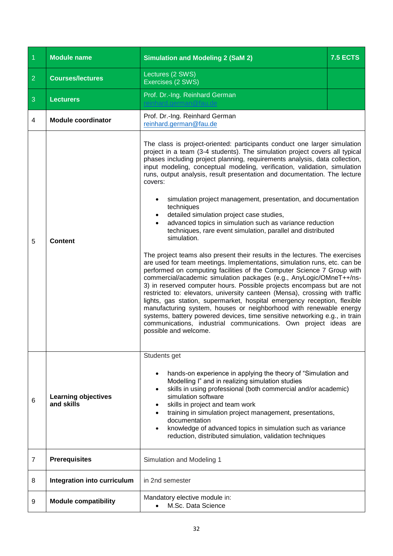<span id="page-31-0"></span>

| $\vert$ 1      | <b>Module name</b>                       | <b>Simulation and Modeling 2 (SaM 2)</b>                                                                                                                                                                                                                                                                                                                                                                                                                                                                                                                                                                                                                                                                                                                                                                                                                                                                                                                                                                                                                                                                                                                                                                                                                                                                                                                                                                                                                                                           | <b>7.5 ECTS</b> |
|----------------|------------------------------------------|----------------------------------------------------------------------------------------------------------------------------------------------------------------------------------------------------------------------------------------------------------------------------------------------------------------------------------------------------------------------------------------------------------------------------------------------------------------------------------------------------------------------------------------------------------------------------------------------------------------------------------------------------------------------------------------------------------------------------------------------------------------------------------------------------------------------------------------------------------------------------------------------------------------------------------------------------------------------------------------------------------------------------------------------------------------------------------------------------------------------------------------------------------------------------------------------------------------------------------------------------------------------------------------------------------------------------------------------------------------------------------------------------------------------------------------------------------------------------------------------------|-----------------|
| $\overline{2}$ | <b>Courses/lectures</b>                  | Lectures (2 SWS)<br>Exercises (2 SWS)                                                                                                                                                                                                                                                                                                                                                                                                                                                                                                                                                                                                                                                                                                                                                                                                                                                                                                                                                                                                                                                                                                                                                                                                                                                                                                                                                                                                                                                              |                 |
| $\mathbf{3}$   | <b>Lecturers</b>                         | Prof. Dr.-Ing. Reinhard German                                                                                                                                                                                                                                                                                                                                                                                                                                                                                                                                                                                                                                                                                                                                                                                                                                                                                                                                                                                                                                                                                                                                                                                                                                                                                                                                                                                                                                                                     |                 |
| 4              | <b>Module coordinator</b>                | Prof. Dr.-Ing. Reinhard German<br>reinhard.german@fau.de                                                                                                                                                                                                                                                                                                                                                                                                                                                                                                                                                                                                                                                                                                                                                                                                                                                                                                                                                                                                                                                                                                                                                                                                                                                                                                                                                                                                                                           |                 |
| 5              | Content                                  | The class is project-oriented: participants conduct one larger simulation<br>project in a team (3-4 students). The simulation project covers all typical<br>phases including project planning, requirements analysis, data collection,<br>input modeling, conceptual modeling, verification, validation, simulation<br>runs, output analysis, result presentation and documentation. The lecture<br>covers:<br>simulation project management, presentation, and documentation<br>$\bullet$<br>techniques<br>detailed simulation project case studies,<br>advanced topics in simulation such as variance reduction<br>techniques, rare event simulation, parallel and distributed<br>simulation.<br>The project teams also present their results in the lectures. The exercises<br>are used for team meetings. Implementations, simulation runs, etc. can be<br>performed on computing facilities of the Computer Science 7 Group with<br>commercial/academic simulation packages (e.g., AnyLogic/OMneT++/ns-<br>3) in reserved computer hours. Possible projects encompass but are not<br>restricted to: elevators, university canteen (Mensa), crossing with traffic<br>lights, gas station, supermarket, hospital emergency reception, flexible<br>manufacturing system, houses or neighborhood with renewable energy<br>systems, battery powered devices, time sensitive networking e.g., in train<br>communications, industrial communications. Own project ideas are<br>possible and welcome. |                 |
|                |                                          | Students get                                                                                                                                                                                                                                                                                                                                                                                                                                                                                                                                                                                                                                                                                                                                                                                                                                                                                                                                                                                                                                                                                                                                                                                                                                                                                                                                                                                                                                                                                       |                 |
| 6              | <b>Learning objectives</b><br>and skills | hands-on experience in applying the theory of "Simulation and<br>$\bullet$<br>Modelling I" and in realizing simulation studies<br>skills in using professional (both commercial and/or academic)<br>$\bullet$<br>simulation software<br>skills in project and team work<br>training in simulation project management, presentations,<br>documentation<br>knowledge of advanced topics in simulation such as variance<br>$\bullet$<br>reduction, distributed simulation, validation techniques                                                                                                                                                                                                                                                                                                                                                                                                                                                                                                                                                                                                                                                                                                                                                                                                                                                                                                                                                                                                      |                 |
| 7              | <b>Prerequisites</b>                     | Simulation and Modeling 1                                                                                                                                                                                                                                                                                                                                                                                                                                                                                                                                                                                                                                                                                                                                                                                                                                                                                                                                                                                                                                                                                                                                                                                                                                                                                                                                                                                                                                                                          |                 |
| 8              | Integration into curriculum              | in 2nd semester                                                                                                                                                                                                                                                                                                                                                                                                                                                                                                                                                                                                                                                                                                                                                                                                                                                                                                                                                                                                                                                                                                                                                                                                                                                                                                                                                                                                                                                                                    |                 |
| 9              | <b>Module compatibility</b>              | Mandatory elective module in:<br>M.Sc. Data Science                                                                                                                                                                                                                                                                                                                                                                                                                                                                                                                                                                                                                                                                                                                                                                                                                                                                                                                                                                                                                                                                                                                                                                                                                                                                                                                                                                                                                                                |                 |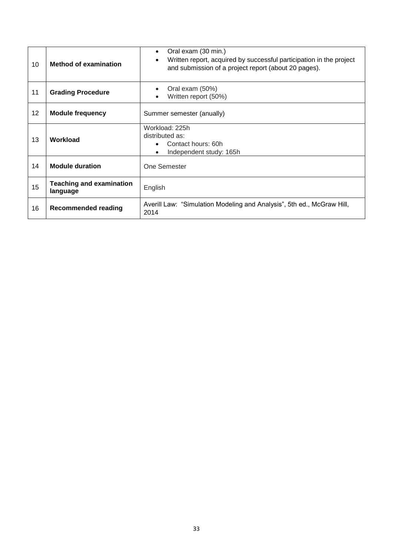| 10 | <b>Method of examination</b>                | Oral exam (30 min.)<br>$\bullet$<br>Written report, acquired by successful participation in the project<br>and submission of a project report (about 20 pages). |
|----|---------------------------------------------|-----------------------------------------------------------------------------------------------------------------------------------------------------------------|
| 11 | <b>Grading Procedure</b>                    | Oral exam (50%)<br>$\bullet$<br>Written report (50%)                                                                                                            |
| 12 | <b>Module frequency</b>                     | Summer semester (anually)                                                                                                                                       |
| 13 | Workload                                    | Workload: 225h<br>distributed as:<br>Contact hours: 60h<br>Independent study: 165h<br>$\bullet$                                                                 |
| 14 | <b>Module duration</b>                      | One Semester                                                                                                                                                    |
| 15 | <b>Teaching and examination</b><br>language | English                                                                                                                                                         |
| 16 | <b>Recommended reading</b>                  | Averill Law: "Simulation Modeling and Analysis", 5th ed., McGraw Hill,<br>2014                                                                                  |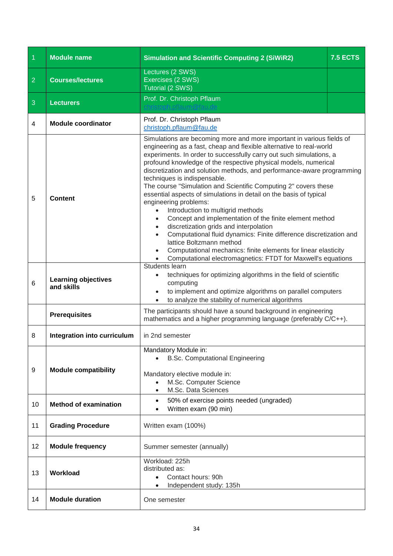<span id="page-33-0"></span>

| $\overline{1}$ | <b>Module name</b>                       | <b>Simulation and Scientific Computing 2 (SiWiR2)</b>                                                                                                                                                                                                                                                                                                                                                                                                                                                                                                                                                                                                                                                                                                                                                                                                                                                                                                                      | <b>7.5 ECTS</b> |
|----------------|------------------------------------------|----------------------------------------------------------------------------------------------------------------------------------------------------------------------------------------------------------------------------------------------------------------------------------------------------------------------------------------------------------------------------------------------------------------------------------------------------------------------------------------------------------------------------------------------------------------------------------------------------------------------------------------------------------------------------------------------------------------------------------------------------------------------------------------------------------------------------------------------------------------------------------------------------------------------------------------------------------------------------|-----------------|
| $\overline{2}$ | <b>Courses/lectures</b>                  | Lectures (2 SWS)<br>Exercises (2 SWS)<br>Tutorial (2 SWS)                                                                                                                                                                                                                                                                                                                                                                                                                                                                                                                                                                                                                                                                                                                                                                                                                                                                                                                  |                 |
| $\mathbf{3}$   | <b>Lecturers</b>                         | Prof. Dr. Christoph Pflaum                                                                                                                                                                                                                                                                                                                                                                                                                                                                                                                                                                                                                                                                                                                                                                                                                                                                                                                                                 |                 |
| 4              | <b>Module coordinator</b>                | Prof. Dr. Christoph Pflaum<br>christoph.pflaum@fau.de                                                                                                                                                                                                                                                                                                                                                                                                                                                                                                                                                                                                                                                                                                                                                                                                                                                                                                                      |                 |
| 5              | <b>Content</b>                           | Simulations are becoming more and more important in various fields of<br>engineering as a fast, cheap and flexible alternative to real-world<br>experiments. In order to successfully carry out such simulations, a<br>profound knowledge of the respective physical models, numerical<br>discretization and solution methods, and performance-aware programming<br>techniques is indispensable.<br>The course "Simulation and Scientific Computing 2" covers these<br>essential aspects of simulations in detail on the basis of typical<br>engineering problems:<br>Introduction to multigrid methods<br>$\bullet$<br>Concept and implementation of the finite element method<br>discretization grids and interpolation<br>$\bullet$<br>Computational fluid dynamics: Finite difference discretization and<br>lattice Boltzmann method<br>Computational mechanics: finite elements for linear elasticity<br>Computational electromagnetics: FTDT for Maxwell's equations |                 |
| 6              | <b>Learning objectives</b><br>and skills | Students learn<br>techniques for optimizing algorithms in the field of scientific<br>$\bullet$<br>computing<br>to implement and optimize algorithms on parallel computers<br>to analyze the stability of numerical algorithms                                                                                                                                                                                                                                                                                                                                                                                                                                                                                                                                                                                                                                                                                                                                              |                 |
|                | <b>Prerequisites</b>                     | The participants should have a sound background in engineering<br>mathematics and a higher programming language (preferably C/C++).                                                                                                                                                                                                                                                                                                                                                                                                                                                                                                                                                                                                                                                                                                                                                                                                                                        |                 |
| 8              | Integration into curriculum              | in 2nd semester                                                                                                                                                                                                                                                                                                                                                                                                                                                                                                                                                                                                                                                                                                                                                                                                                                                                                                                                                            |                 |
| 9              | <b>Module compatibility</b>              | Mandatory Module in:<br><b>B.Sc. Computational Engineering</b><br>$\bullet$<br>Mandatory elective module in:<br>M.Sc. Computer Science<br>$\bullet$<br>M.Sc. Data Sciences<br>$\bullet$                                                                                                                                                                                                                                                                                                                                                                                                                                                                                                                                                                                                                                                                                                                                                                                    |                 |
| 10             | <b>Method of examination</b>             | 50% of exercise points needed (ungraded)<br>$\bullet$<br>Written exam (90 min)                                                                                                                                                                                                                                                                                                                                                                                                                                                                                                                                                                                                                                                                                                                                                                                                                                                                                             |                 |
| 11             | <b>Grading Procedure</b>                 | Written exam (100%)                                                                                                                                                                                                                                                                                                                                                                                                                                                                                                                                                                                                                                                                                                                                                                                                                                                                                                                                                        |                 |
| 12             | <b>Module frequency</b>                  | Summer semester (annually)                                                                                                                                                                                                                                                                                                                                                                                                                                                                                                                                                                                                                                                                                                                                                                                                                                                                                                                                                 |                 |
| 13             | Workload                                 | Workload: 225h<br>distributed as:<br>Contact hours: 90h<br>$\bullet$<br>Independent study: 135h<br>$\bullet$                                                                                                                                                                                                                                                                                                                                                                                                                                                                                                                                                                                                                                                                                                                                                                                                                                                               |                 |
| 14             | <b>Module duration</b>                   | One semester                                                                                                                                                                                                                                                                                                                                                                                                                                                                                                                                                                                                                                                                                                                                                                                                                                                                                                                                                               |                 |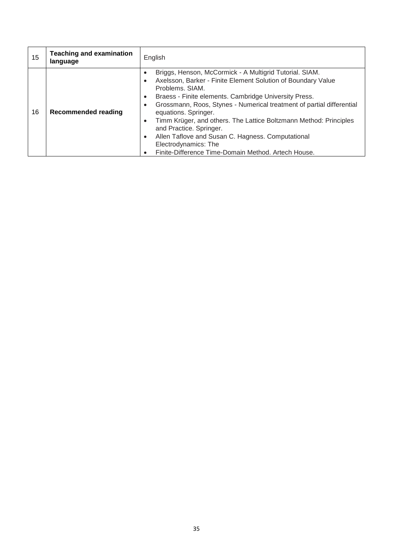| 15 | <b>Teaching and examination</b><br>language | English                                                                                                                                                                                                                                                                                                                                                                                                                                                                                                                                                                                      |
|----|---------------------------------------------|----------------------------------------------------------------------------------------------------------------------------------------------------------------------------------------------------------------------------------------------------------------------------------------------------------------------------------------------------------------------------------------------------------------------------------------------------------------------------------------------------------------------------------------------------------------------------------------------|
| 16 | <b>Recommended reading</b>                  | Briggs, Henson, McCormick - A Multigrid Tutorial. SIAM.<br>Axelsson, Barker - Finite Element Solution of Boundary Value<br>Problems, SIAM.<br>Braess - Finite elements. Cambridge University Press.<br>$\bullet$<br>Grossmann, Roos, Stynes - Numerical treatment of partial differential<br>$\bullet$<br>equations. Springer.<br>Timm Krüger, and others. The Lattice Boltzmann Method: Principles<br>$\bullet$<br>and Practice. Springer.<br>Allen Taflove and Susan C. Hagness. Computational<br>$\bullet$<br>Electrodynamics: The<br>Finite-Difference Time-Domain Method. Artech House. |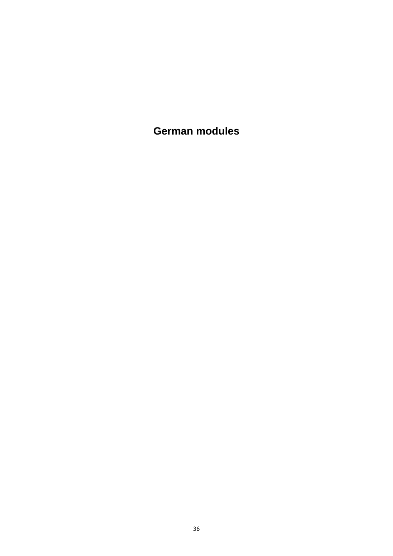<span id="page-35-0"></span>**German modules**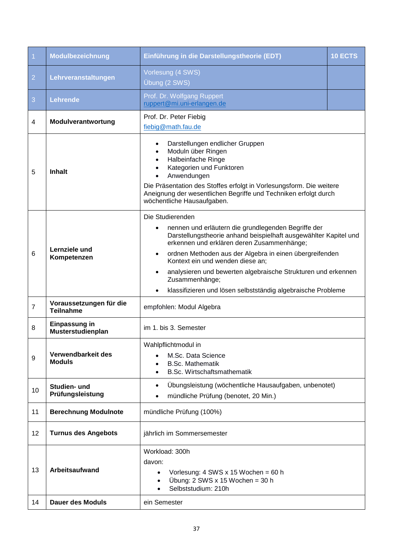<span id="page-36-0"></span>

| $\vert$ 1      | Modulbezeichnung                            | Einführung in die Darstellungstheorie (EDT)                                                                                                                                                                                                                                                                                                                                                                                                                           | <b>10 ECTS</b> |
|----------------|---------------------------------------------|-----------------------------------------------------------------------------------------------------------------------------------------------------------------------------------------------------------------------------------------------------------------------------------------------------------------------------------------------------------------------------------------------------------------------------------------------------------------------|----------------|
| $\overline{2}$ | Lehrveranstaltungen                         | Vorlesung (4 SWS)<br>Übung (2 SWS)                                                                                                                                                                                                                                                                                                                                                                                                                                    |                |
| 3              | <b>Lehrende</b>                             | Prof. Dr. Wolfgang Ruppert<br>ruppert@mi.uni-erlangen.de                                                                                                                                                                                                                                                                                                                                                                                                              |                |
| 4              | Modulverantwortung                          | Prof. Dr. Peter Fiebig<br>fiebig@math.fau.de                                                                                                                                                                                                                                                                                                                                                                                                                          |                |
| 5              | <b>Inhalt</b>                               | Darstellungen endlicher Gruppen<br>$\bullet$<br>Moduln über Ringen<br>Halbeinfache Ringe<br>Kategorien und Funktoren<br>Anwendungen<br>Die Präsentation des Stoffes erfolgt in Vorlesungsform. Die weitere<br>Aneignung der wesentlichen Begriffe und Techniken erfolgt durch<br>wöchentliche Hausaufgaben.                                                                                                                                                           |                |
| 6              | Lernziele und<br>Kompetenzen                | Die Studierenden<br>nennen und erläutern die grundlegenden Begriffe der<br>Darstellungstheorie anhand beispielhaft ausgewählter Kapitel und<br>erkennen und erklären deren Zusammenhänge;<br>ordnen Methoden aus der Algebra in einen übergreifenden<br>$\bullet$<br>Kontext ein und wenden diese an;<br>analysieren und bewerten algebraische Strukturen und erkennen<br>Zusammenhänge;<br>klassifizieren und lösen selbstständig algebraische Probleme<br>$\bullet$ |                |
| $\overline{7}$ | Voraussetzungen für die<br><b>Teilnahme</b> | empfohlen: Modul Algebra                                                                                                                                                                                                                                                                                                                                                                                                                                              |                |
| 8              | Einpassung in<br>Musterstudienplan          | im 1. bis 3. Semester                                                                                                                                                                                                                                                                                                                                                                                                                                                 |                |
| 9              | Verwendbarkeit des<br><b>Moduls</b>         | Wahlpflichtmodul in<br>M.Sc. Data Science<br><b>B.Sc. Mathematik</b><br><b>B.Sc. Wirtschaftsmathematik</b>                                                                                                                                                                                                                                                                                                                                                            |                |
| 10             | Studien- und<br>Prüfungsleistung            | Übungsleistung (wöchentliche Hausaufgaben, unbenotet)<br>$\bullet$<br>mündliche Prüfung (benotet, 20 Min.)                                                                                                                                                                                                                                                                                                                                                            |                |
| 11             | <b>Berechnung Modulnote</b>                 | mündliche Prüfung (100%)                                                                                                                                                                                                                                                                                                                                                                                                                                              |                |
| 12             | <b>Turnus des Angebots</b>                  | jährlich im Sommersemester                                                                                                                                                                                                                                                                                                                                                                                                                                            |                |
| 13             | <b>Arbeitsaufwand</b>                       | Workload: 300h<br>davon:<br>Vorlesung: $4$ SWS x 15 Wochen = 60 h<br>$\bullet$<br>Übung: $2$ SWS x 15 Wochen = 30 h<br>$\bullet$<br>Selbststudium: 210h<br>$\bullet$                                                                                                                                                                                                                                                                                                  |                |
| 14             | <b>Dauer des Moduls</b>                     | ein Semester                                                                                                                                                                                                                                                                                                                                                                                                                                                          |                |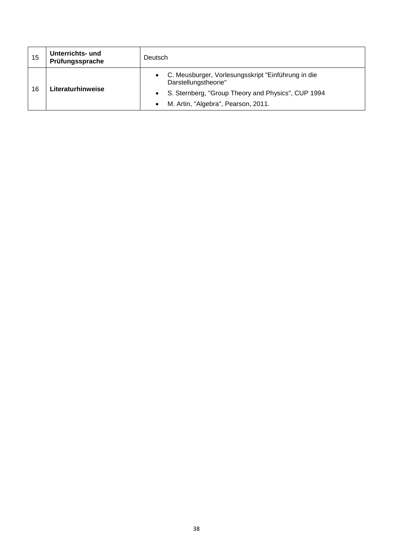| 15 | Unterrichts- und<br>Prüfungssprache | Deutsch                                                                    |
|----|-------------------------------------|----------------------------------------------------------------------------|
| 16 | Literaturhinweise                   | C. Meusburger, Vorlesungsskript "Einführung in die<br>Darstellungstheorie" |
|    |                                     | S. Sternberg, "Group Theory and Physics", CUP 1994                         |
|    |                                     | M. Artin, "Algebra", Pearson, 2011.<br>$\bullet$                           |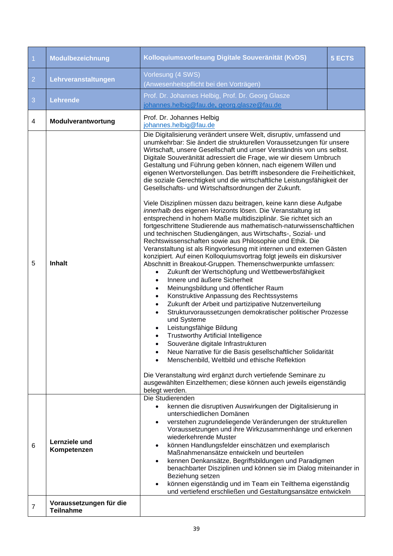<span id="page-38-0"></span>

| $\overline{1}$ | Modulbezeichnung                            | Kolloquiumsvorlesung Digitale Souveränität (KvDS)                                                                                                                                                                                                                                                                                                                                                                                                                                                                                                                                                                                                                                                                                                                                                                                                                                                                                                                                                                                                                                                                                                                                                                                                                                                                                                                                                                                                                                                                                                                                                                                                                                                                                                                                                                                                                                                                                                                                      | 5 ECTS |
|----------------|---------------------------------------------|----------------------------------------------------------------------------------------------------------------------------------------------------------------------------------------------------------------------------------------------------------------------------------------------------------------------------------------------------------------------------------------------------------------------------------------------------------------------------------------------------------------------------------------------------------------------------------------------------------------------------------------------------------------------------------------------------------------------------------------------------------------------------------------------------------------------------------------------------------------------------------------------------------------------------------------------------------------------------------------------------------------------------------------------------------------------------------------------------------------------------------------------------------------------------------------------------------------------------------------------------------------------------------------------------------------------------------------------------------------------------------------------------------------------------------------------------------------------------------------------------------------------------------------------------------------------------------------------------------------------------------------------------------------------------------------------------------------------------------------------------------------------------------------------------------------------------------------------------------------------------------------------------------------------------------------------------------------------------------------|--------|
| $\overline{2}$ | Lehrveranstaltungen                         | Vorlesung (4 SWS)<br>(Anwesenheitspflicht bei den Vorträgen)                                                                                                                                                                                                                                                                                                                                                                                                                                                                                                                                                                                                                                                                                                                                                                                                                                                                                                                                                                                                                                                                                                                                                                                                                                                                                                                                                                                                                                                                                                                                                                                                                                                                                                                                                                                                                                                                                                                           |        |
| 3              | <b>Lehrende</b>                             | Prof. Dr. Johannes Helbig, Prof. Dr. Georg Glasze<br>johannes.helbig@fau.de, georg.glasze@fau.de                                                                                                                                                                                                                                                                                                                                                                                                                                                                                                                                                                                                                                                                                                                                                                                                                                                                                                                                                                                                                                                                                                                                                                                                                                                                                                                                                                                                                                                                                                                                                                                                                                                                                                                                                                                                                                                                                       |        |
| 4              | Modulverantwortung                          | Prof. Dr. Johannes Helbig<br>johannes.helbig@fau.de                                                                                                                                                                                                                                                                                                                                                                                                                                                                                                                                                                                                                                                                                                                                                                                                                                                                                                                                                                                                                                                                                                                                                                                                                                                                                                                                                                                                                                                                                                                                                                                                                                                                                                                                                                                                                                                                                                                                    |        |
| 5              | <b>Inhalt</b>                               | Die Digitalisierung verändert unsere Welt, disruptiv, umfassend und<br>unumkehrbar: Sie ändert die strukturellen Voraussetzungen für unsere<br>Wirtschaft, unsere Gesellschaft und unser Verständnis von uns selbst.<br>Digitale Souveränität adressiert die Frage, wie wir diesem Umbruch<br>Gestaltung und Führung geben können, nach eigenem Willen und<br>eigenen Wertvorstellungen. Das betrifft insbesondere die Freiheitlichkeit,<br>die soziale Gerechtigkeit und die wirtschaftliche Leistungsfähigkeit der<br>Gesellschafts- und Wirtschaftsordnungen der Zukunft.<br>Viele Disziplinen müssen dazu beitragen, keine kann diese Aufgabe<br>innerhalb des eigenen Horizonts lösen. Die Veranstaltung ist<br>entsprechend in hohem Maße multidisziplinär. Sie richtet sich an<br>fortgeschrittene Studierende aus mathematisch-naturwissenschaftlichen<br>und technischen Studiengängen, aus Wirtschafts-, Sozial- und<br>Rechtswissenschaften sowie aus Philosophie und Ethik. Die<br>Veranstaltung ist als Ringvorlesung mit internen und externen Gästen<br>konzipiert. Auf einen Kolloquiumsvortrag folgt jeweils ein diskursiver<br>Abschnitt in Breakout-Gruppen. Themenschwerpunkte umfassen:<br>Zukunft der Wertschöpfung und Wettbewerbsfähigkeit<br>Innere und äußere Sicherheit<br>$\bullet$<br>Meinungsbildung und öffentlicher Raum<br>$\bullet$<br>Konstruktive Anpassung des Rechtssystems<br>$\bullet$<br>Zukunft der Arbeit und partizipative Nutzenverteilung<br>$\bullet$<br>Strukturvoraussetzungen demokratischer politischer Prozesse<br>und Systeme<br>Leistungsfähige Bildung<br><b>Trustworthy Artificial Intelligence</b><br>Souveräne digitale Infrastrukturen<br>Neue Narrative für die Basis gesellschaftlicher Solidarität<br>$\bullet$<br>Menschenbild, Weltbild und ethische Reflektion<br>Die Veranstaltung wird ergänzt durch vertiefende Seminare zu<br>ausgewählten Einzelthemen; diese können auch jeweils eigenständig<br>belegt werden. |        |
| 6              | Lernziele und<br>Kompetenzen                | Die Studierenden<br>kennen die disruptiven Auswirkungen der Digitalisierung in<br>$\bullet$<br>unterschiedlichen Domänen<br>verstehen zugrundeliegende Veränderungen der strukturellen<br>$\bullet$<br>Voraussetzungen und ihre Wirkzusammenhänge und erkennen<br>wiederkehrende Muster<br>können Handlungsfelder einschätzen und exemplarisch<br>$\bullet$<br>Maßnahmenansätze entwickeln und beurteilen<br>kennen Denkansätze, Begriffsbildungen und Paradigmen<br>$\bullet$<br>benachbarter Disziplinen und können sie im Dialog miteinander in<br>Beziehung setzen<br>können eigenständig und im Team ein Teilthema eigenständig<br>$\bullet$<br>und vertiefend erschließen und Gestaltungsansätze entwickeln                                                                                                                                                                                                                                                                                                                                                                                                                                                                                                                                                                                                                                                                                                                                                                                                                                                                                                                                                                                                                                                                                                                                                                                                                                                                      |        |
| 7              | Voraussetzungen für die<br><b>Teilnahme</b> |                                                                                                                                                                                                                                                                                                                                                                                                                                                                                                                                                                                                                                                                                                                                                                                                                                                                                                                                                                                                                                                                                                                                                                                                                                                                                                                                                                                                                                                                                                                                                                                                                                                                                                                                                                                                                                                                                                                                                                                        |        |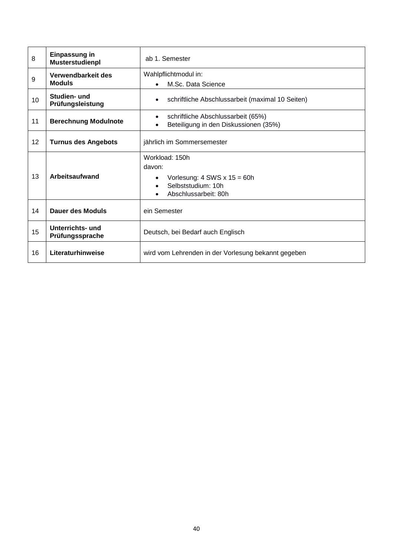| 8  | Einpassung in<br>Musterstudienpl    | ab 1. Semester                                                                                                                      |
|----|-------------------------------------|-------------------------------------------------------------------------------------------------------------------------------------|
| 9  | Verwendbarkeit des<br><b>Moduls</b> | Wahlpflichtmodul in:<br>M.Sc. Data Science<br>$\bullet$                                                                             |
| 10 | Studien- und<br>Prüfungsleistung    | schriftliche Abschlussarbeit (maximal 10 Seiten)<br>$\bullet$                                                                       |
| 11 | <b>Berechnung Modulnote</b>         | schriftliche Abschlussarbeit (65%)<br>$\bullet$<br>Beteiligung in den Diskussionen (35%)<br>$\bullet$                               |
| 12 | <b>Turnus des Angebots</b>          | jährlich im Sommersemester                                                                                                          |
| 13 | Arbeitsaufwand                      | Workload: 150h<br>davon:<br>Vorlesung: $4$ SWS x $15 = 60h$<br>$\bullet$<br>Selbststudium: 10h<br>$\bullet$<br>Abschlussarbeit: 80h |
| 14 | Dauer des Moduls                    | ein Semester                                                                                                                        |
| 15 | Unterrichts- und<br>Prüfungssprache | Deutsch, bei Bedarf auch Englisch                                                                                                   |
| 16 | Literaturhinweise                   | wird vom Lehrenden in der Vorlesung bekannt gegeben                                                                                 |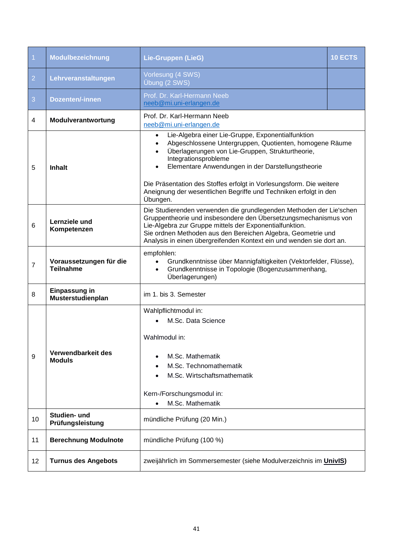<span id="page-40-0"></span>

| $\overline{1}$ | Modulbezeichnung                            | <b>Lie-Gruppen (LieG)</b>                                                                                                                                                                                                                                                                                                                                                                                         | 10 ECTS |
|----------------|---------------------------------------------|-------------------------------------------------------------------------------------------------------------------------------------------------------------------------------------------------------------------------------------------------------------------------------------------------------------------------------------------------------------------------------------------------------------------|---------|
| $\overline{2}$ | Lehrveranstaltungen                         | Vorlesung (4 SWS)<br>Übung (2 SWS)                                                                                                                                                                                                                                                                                                                                                                                |         |
| 3              | <b>Dozenten/-innen</b>                      | Prof. Dr. Karl-Hermann Neeb<br>neeb@mi.uni-erlangen.de                                                                                                                                                                                                                                                                                                                                                            |         |
| 4              | Modulverantwortung                          | Prof. Dr. Karl-Hermann Neeb<br>neeb@mi.uni-erlangen.de                                                                                                                                                                                                                                                                                                                                                            |         |
| 5              | <b>Inhalt</b>                               | Lie-Algebra einer Lie-Gruppe, Exponentialfunktion<br>$\bullet$<br>Abgeschlossene Untergruppen, Quotienten, homogene Räume<br>Überlagerungen von Lie-Gruppen, Strukturtheorie,<br>Integrationsprobleme<br>Elementare Anwendungen in der Darstellungstheorie<br>Die Präsentation des Stoffes erfolgt in Vorlesungsform. Die weitere<br>Aneignung der wesentlichen Begriffe und Techniken erfolgt in den<br>Übungen. |         |
| 6              | Lernziele und<br>Kompetenzen                | Die Studierenden verwenden die grundlegenden Methoden der Lie'schen<br>Gruppentheorie und insbesondere den Übersetzungsmechanismus von<br>Lie-Algebra zur Gruppe mittels der Exponentialfunktion.<br>Sie ordnen Methoden aus den Bereichen Algebra, Geometrie und<br>Analysis in einen übergreifenden Kontext ein und wenden sie dort an.                                                                         |         |
| $\overline{7}$ | Voraussetzungen für die<br><b>Teilnahme</b> | empfohlen:<br>Grundkenntnisse über Mannigfaltigkeiten (Vektorfelder, Flüsse),<br>$\bullet$<br>Grundkenntnisse in Topologie (Bogenzusammenhang,<br>$\bullet$<br>Überlagerungen)                                                                                                                                                                                                                                    |         |
| 8              | Einpassung in<br>Musterstudienplan          | im 1. bis 3. Semester                                                                                                                                                                                                                                                                                                                                                                                             |         |
| 9              | Verwendbarkeit des<br><b>Moduls</b>         | Wahlpflichtmodul in:<br>M.Sc. Data Science<br>Wahlmodul in:<br>M.Sc. Mathematik<br>M.Sc. Technomathematik<br>M.Sc. Wirtschaftsmathematik<br>Kern-/Forschungsmodul in:<br>M.Sc. Mathematik                                                                                                                                                                                                                         |         |
| 10             | Studien- und<br>Prüfungsleistung            | mündliche Prüfung (20 Min.)                                                                                                                                                                                                                                                                                                                                                                                       |         |
| 11             | <b>Berechnung Modulnote</b>                 | mündliche Prüfung (100 %)                                                                                                                                                                                                                                                                                                                                                                                         |         |
| 12             | <b>Turnus des Angebots</b>                  | zweijährlich im Sommersemester (siehe Modulverzeichnis im UnivIS)                                                                                                                                                                                                                                                                                                                                                 |         |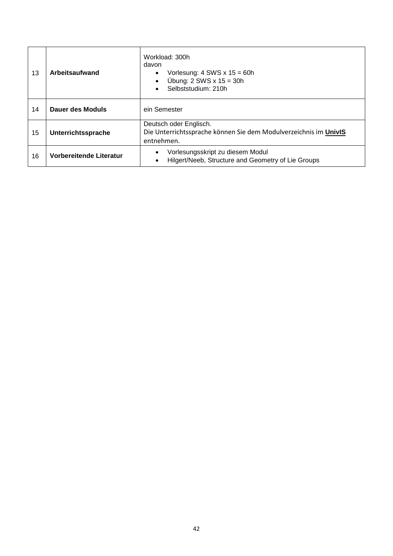| 13 | Arbeitsaufwand          | Workload: 300h<br>davon<br>Vorlesung: $4$ SWS $x$ 15 = 60h<br>$\bullet$<br>Übung: $2$ SWS $x$ 15 = 30h<br>$\bullet$<br>Selbststudium: 210h |
|----|-------------------------|--------------------------------------------------------------------------------------------------------------------------------------------|
| 14 | Dauer des Moduls        | ein Semester                                                                                                                               |
| 15 | Unterrichtssprache      | Deutsch oder Englisch.<br>Die Unterrichtssprache können Sie dem Modulverzeichnis im UnivIS<br>entnehmen.                                   |
| 16 | Vorbereitende Literatur | Vorlesungsskript zu diesem Modul<br>$\bullet$<br>Hilgert/Neeb, Structure and Geometry of Lie Groups<br>$\bullet$                           |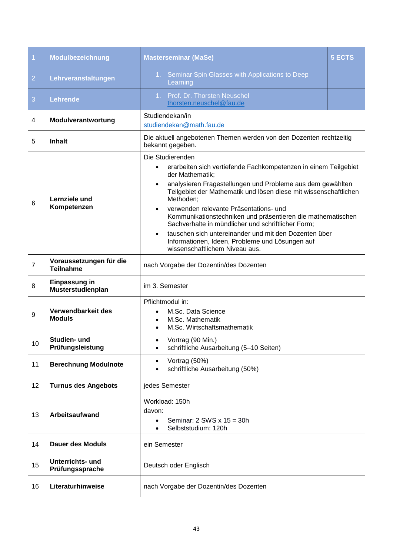<span id="page-42-0"></span>

| $\overline{1}$ | Modulbezeichnung                            | <b>Masterseminar (MaSe)</b>                                                                                                                                                                                                                                                                                                                                                                                                                                                                                                                                                     | <b>5 ECTS</b> |
|----------------|---------------------------------------------|---------------------------------------------------------------------------------------------------------------------------------------------------------------------------------------------------------------------------------------------------------------------------------------------------------------------------------------------------------------------------------------------------------------------------------------------------------------------------------------------------------------------------------------------------------------------------------|---------------|
| $\overline{2}$ | Lehrveranstaltungen                         | 1. Seminar Spin Glasses with Applications to Deep<br>Learning                                                                                                                                                                                                                                                                                                                                                                                                                                                                                                                   |               |
| 3              | Lehrende                                    | Prof. Dr. Thorsten Neuschel<br>1 <sub>1</sub><br>thorsten.neuschel@fau.de                                                                                                                                                                                                                                                                                                                                                                                                                                                                                                       |               |
| 4              | Modulverantwortung                          | Studiendekan/in<br>studiendekan@math.fau.de                                                                                                                                                                                                                                                                                                                                                                                                                                                                                                                                     |               |
| 5              | <b>Inhalt</b>                               | Die aktuell angebotenen Themen werden von den Dozenten rechtzeitig<br>bekannt gegeben.                                                                                                                                                                                                                                                                                                                                                                                                                                                                                          |               |
| 6              | Lernziele und<br>Kompetenzen                | Die Studierenden<br>erarbeiten sich vertiefende Fachkompetenzen in einem Teilgebiet<br>$\bullet$<br>der Mathematik;<br>analysieren Fragestellungen und Probleme aus dem gewählten<br>Teilgebiet der Mathematik und lösen diese mit wissenschaftlichen<br>Methoden;<br>verwenden relevante Präsentations- und<br>Kommunikationstechniken und präsentieren die mathematischen<br>Sachverhalte in mündlicher und schriftlicher Form;<br>tauschen sich untereinander und mit den Dozenten über<br>Informationen, Ideen, Probleme und Lösungen auf<br>wissenschaftlichem Niveau aus. |               |
| $\overline{7}$ | Voraussetzungen für die<br><b>Teilnahme</b> | nach Vorgabe der Dozentin/des Dozenten                                                                                                                                                                                                                                                                                                                                                                                                                                                                                                                                          |               |
| 8              | Einpassung in<br>Musterstudienplan          | im 3. Semester                                                                                                                                                                                                                                                                                                                                                                                                                                                                                                                                                                  |               |
| 9              | Verwendbarkeit des<br><b>Moduls</b>         | Pflichtmodul in:<br>M.Sc. Data Science<br>M.Sc. Mathematik<br>M.Sc. Wirtschaftsmathematik                                                                                                                                                                                                                                                                                                                                                                                                                                                                                       |               |
| 10             | Studien- und<br>Prüfungsleistung            | Vortrag (90 Min.)<br>schriftliche Ausarbeitung (5-10 Seiten)<br>$\bullet$                                                                                                                                                                                                                                                                                                                                                                                                                                                                                                       |               |
| 11             | <b>Berechnung Modulnote</b>                 | Vortrag (50%)<br>$\bullet$<br>schriftliche Ausarbeitung (50%)                                                                                                                                                                                                                                                                                                                                                                                                                                                                                                                   |               |
| 12             | <b>Turnus des Angebots</b>                  | jedes Semester                                                                                                                                                                                                                                                                                                                                                                                                                                                                                                                                                                  |               |
| 13             | Arbeitsaufwand                              | Workload: 150h<br>davon:<br>Seminar: $2$ SWS $x$ 15 = 30h<br>Selbststudium: 120h                                                                                                                                                                                                                                                                                                                                                                                                                                                                                                |               |
| 14             | <b>Dauer des Moduls</b>                     | ein Semester                                                                                                                                                                                                                                                                                                                                                                                                                                                                                                                                                                    |               |
| 15             | Unterrichts- und<br>Prüfungssprache         | Deutsch oder Englisch                                                                                                                                                                                                                                                                                                                                                                                                                                                                                                                                                           |               |
| 16             | Literaturhinweise                           | nach Vorgabe der Dozentin/des Dozenten                                                                                                                                                                                                                                                                                                                                                                                                                                                                                                                                          |               |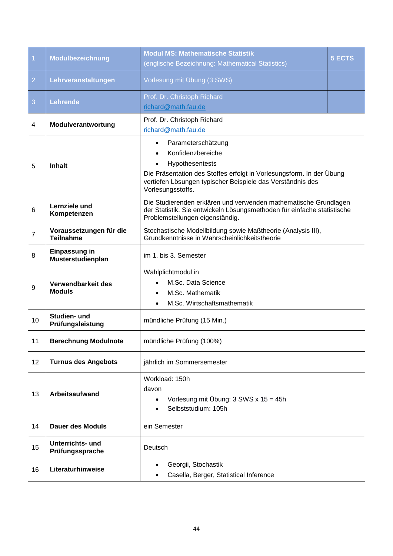| $\overline{1}$ | Modulbezeichnung                            | <b>Modul MS: Mathematische Statistik</b><br>(englische Bezeichnung: Mathematical Statistics)                                                                                                                                       | <b>5 ECTS</b> |
|----------------|---------------------------------------------|------------------------------------------------------------------------------------------------------------------------------------------------------------------------------------------------------------------------------------|---------------|
| $\overline{2}$ | Lehrveranstaltungen                         | Vorlesung mit Übung (3 SWS)                                                                                                                                                                                                        |               |
| 3              | Lehrende                                    | Prof. Dr. Christoph Richard<br>richard@math.fau.de                                                                                                                                                                                 |               |
| 4              | Modulverantwortung                          | Prof. Dr. Christoph Richard<br>richard@math.fau.de                                                                                                                                                                                 |               |
| 5              | <b>Inhalt</b>                               | Parameterschätzung<br>$\bullet$<br>Konfidenzbereiche<br>Hypothesentests<br>Die Präsentation des Stoffes erfolgt in Vorlesungsform. In der Übung<br>vertiefen Lösungen typischer Beispiele das Verständnis des<br>Vorlesungsstoffs. |               |
| $\,6$          | Lernziele und<br>Kompetenzen                | Die Studierenden erklären und verwenden mathematische Grundlagen<br>der Statistik. Sie entwickeln Lösungsmethoden für einfache statistische<br>Problemstellungen eigenständig.                                                     |               |
| $\overline{7}$ | Voraussetzungen für die<br><b>Teilnahme</b> | Stochastische Modellbildung sowie Maßtheorie (Analysis III),<br>Grundkenntnisse in Wahrscheinlichkeitstheorie                                                                                                                      |               |
| 8              | Einpassung in<br>Musterstudienplan          | im 1. bis 3. Semester                                                                                                                                                                                                              |               |
| 9              | Verwendbarkeit des<br><b>Moduls</b>         | Wahlplichtmodul in<br>M.Sc. Data Science<br>M.Sc. Mathematik<br>M.Sc. Wirtschaftsmathematik                                                                                                                                        |               |
| 10             | Studien- und<br>Prüfungsleistung            | mündliche Prüfung (15 Min.)                                                                                                                                                                                                        |               |
| 11             | <b>Berechnung Modulnote</b>                 | mündliche Prüfung (100%)                                                                                                                                                                                                           |               |
| 12             | <b>Turnus des Angebots</b>                  | jährlich im Sommersemester                                                                                                                                                                                                         |               |
| 13             | Arbeitsaufwand                              | Workload: 150h<br>davon<br>Vorlesung mit Übung: 3 SWS x 15 = 45h<br>$\bullet$<br>Selbststudium: 105h                                                                                                                               |               |
| 14             | <b>Dauer des Moduls</b>                     | ein Semester                                                                                                                                                                                                                       |               |
| 15             | Unterrichts- und<br>Prüfungssprache         | Deutsch                                                                                                                                                                                                                            |               |
| 16             | Literaturhinweise                           | Georgii, Stochastik<br>$\bullet$<br>Casella, Berger, Statistical Inference<br>$\bullet$                                                                                                                                            |               |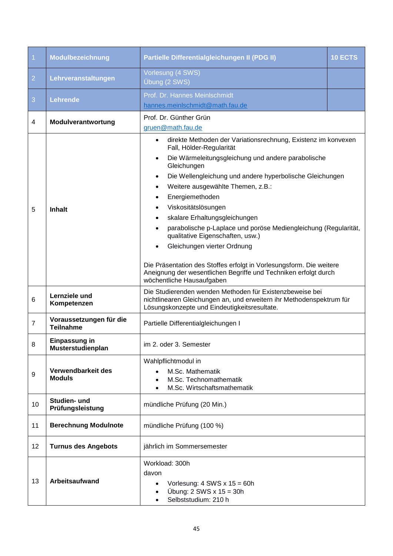<span id="page-44-0"></span>

| $\vert$ 1      | Modulbezeichnung                            | Partielle Differentialgleichungen II (PDG II)                                                                                                                                                                                                                                                                                                                                                                                                                                                                                                                                                                                                                                                  | 10 ECTS |
|----------------|---------------------------------------------|------------------------------------------------------------------------------------------------------------------------------------------------------------------------------------------------------------------------------------------------------------------------------------------------------------------------------------------------------------------------------------------------------------------------------------------------------------------------------------------------------------------------------------------------------------------------------------------------------------------------------------------------------------------------------------------------|---------|
| $\overline{2}$ | Lehrveranstaltungen                         | Vorlesung (4 SWS)<br>Übung (2 SWS)                                                                                                                                                                                                                                                                                                                                                                                                                                                                                                                                                                                                                                                             |         |
| 3              | Lehrende                                    | Prof. Dr. Hannes Meinlschmidt<br>hannes.meinlschmidt@math.fau.de                                                                                                                                                                                                                                                                                                                                                                                                                                                                                                                                                                                                                               |         |
| 4              | Modulverantwortung                          | Prof. Dr. Günther Grün<br>gruen@math.fau.de                                                                                                                                                                                                                                                                                                                                                                                                                                                                                                                                                                                                                                                    |         |
| 5              | <b>Inhalt</b>                               | direkte Methoden der Variationsrechnung, Existenz im konvexen<br>$\bullet$<br>Fall, Hölder-Regularität<br>Die Wärmeleitungsgleichung und andere parabolische<br>$\bullet$<br>Gleichungen<br>Die Wellengleichung und andere hyperbolische Gleichungen<br>$\bullet$<br>Weitere ausgewählte Themen, z.B.:<br>Energiemethoden<br>Viskositätslösungen<br>skalare Erhaltungsgleichungen<br>parabolische p-Laplace und poröse Mediengleichung (Regularität,<br>qualitative Eigenschaften, usw.)<br>Gleichungen vierter Ordnung<br>Die Präsentation des Stoffes erfolgt in Vorlesungsform. Die weitere<br>Aneignung der wesentlichen Begriffe und Techniken erfolgt durch<br>wöchentliche Hausaufgaben |         |
| 6              | Lernziele und<br>Kompetenzen                | Die Studierenden wenden Methoden für Existenzbeweise bei<br>nichtlinearen Gleichungen an, und erweitern ihr Methodenspektrum für<br>Lösungskonzepte und Eindeutigkeitsresultate.                                                                                                                                                                                                                                                                                                                                                                                                                                                                                                               |         |
| $\overline{7}$ | Voraussetzungen für die<br><b>Teilnahme</b> | Partielle Differentialgleichungen I                                                                                                                                                                                                                                                                                                                                                                                                                                                                                                                                                                                                                                                            |         |
| 8              | Einpassung in<br>Musterstudienplan          | im 2. oder 3. Semester                                                                                                                                                                                                                                                                                                                                                                                                                                                                                                                                                                                                                                                                         |         |
| 9              | Verwendbarkeit des<br><b>Moduls</b>         | Wahlpflichtmodul in<br>M.Sc. Mathematik<br>M.Sc. Technomathematik<br>M.Sc. Wirtschaftsmathematik                                                                                                                                                                                                                                                                                                                                                                                                                                                                                                                                                                                               |         |
| 10             | Studien- und<br>Prüfungsleistung            | mündliche Prüfung (20 Min.)                                                                                                                                                                                                                                                                                                                                                                                                                                                                                                                                                                                                                                                                    |         |
| 11             | <b>Berechnung Modulnote</b>                 | mündliche Prüfung (100 %)                                                                                                                                                                                                                                                                                                                                                                                                                                                                                                                                                                                                                                                                      |         |
| 12             | <b>Turnus des Angebots</b>                  | jährlich im Sommersemester                                                                                                                                                                                                                                                                                                                                                                                                                                                                                                                                                                                                                                                                     |         |
| 13             | Arbeitsaufwand                              | Workload: 300h<br>davon<br>Vorlesung: $4$ SWS x $15 = 60h$<br>$\bullet$<br>Übung: $2$ SWS $x$ 15 = 30h<br>Selbststudium: 210 h<br>$\bullet$                                                                                                                                                                                                                                                                                                                                                                                                                                                                                                                                                    |         |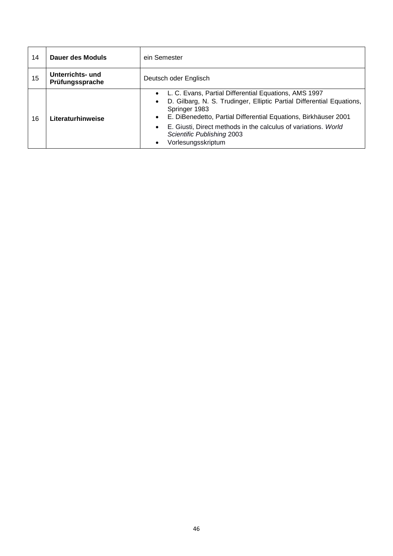| 14 | Dauer des Moduls                    | ein Semester                                                                                                                                                                                                                                                                                                                                                                      |  |
|----|-------------------------------------|-----------------------------------------------------------------------------------------------------------------------------------------------------------------------------------------------------------------------------------------------------------------------------------------------------------------------------------------------------------------------------------|--|
| 15 | Unterrichts- und<br>Prüfungssprache | Deutsch oder Englisch                                                                                                                                                                                                                                                                                                                                                             |  |
| 16 | Literaturhinweise                   | • L. C. Evans, Partial Differential Equations, AMS 1997<br>D. Gilbarg, N. S. Trudinger, Elliptic Partial Differential Equations,<br>$\bullet$<br>Springer 1983<br>E. DiBenedetto, Partial Differential Equations, Birkhäuser 2001<br>$\bullet$<br>E. Giusti, Direct methods in the calculus of variations. World<br>$\bullet$<br>Scientific Publishing 2003<br>Vorlesungsskriptum |  |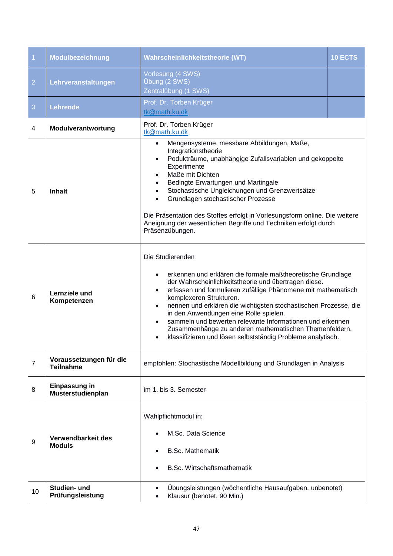<span id="page-46-0"></span>

| $\vert$ 1      | Modulbezeichnung                            | Wahrscheinlichkeitstheorie (WT)                                                                                                                                                                                                                                                                                                                                                                                                                                                                                                                      | 10 ECTS |
|----------------|---------------------------------------------|------------------------------------------------------------------------------------------------------------------------------------------------------------------------------------------------------------------------------------------------------------------------------------------------------------------------------------------------------------------------------------------------------------------------------------------------------------------------------------------------------------------------------------------------------|---------|
| $\overline{2}$ | Lehrveranstaltungen                         | Vorlesung (4 SWS)<br>Übung (2 SWS)<br>Zentralübung (1 SWS)                                                                                                                                                                                                                                                                                                                                                                                                                                                                                           |         |
| 3              | <b>Lehrende</b>                             | Prof. Dr. Torben Krüger<br>tk@math.ku.dk                                                                                                                                                                                                                                                                                                                                                                                                                                                                                                             |         |
| 4              | Modulverantwortung                          | Prof. Dr. Torben Krüger<br>tk@math.ku.dk                                                                                                                                                                                                                                                                                                                                                                                                                                                                                                             |         |
| 5              | <b>Inhalt</b>                               | Mengensysteme, messbare Abbildungen, Maße,<br>$\bullet$<br>Integrationstheorie<br>Podukträume, unabhängige Zufallsvariablen und gekoppelte<br>Experimente<br>Maße mit Dichten<br>Bedingte Erwartungen und Martingale<br>Stochastische Ungleichungen und Grenzwertsätze<br>Grundlagen stochastischer Prozesse<br>Die Präsentation des Stoffes erfolgt in Vorlesungsform online. Die weitere<br>Aneignung der wesentlichen Begriffe und Techniken erfolgt durch<br>Präsenzübungen.                                                                     |         |
| 6              | Lernziele und<br>Kompetenzen                | Die Studierenden<br>erkennen und erklären die formale maßtheoretische Grundlage<br>der Wahrscheinlichkeitstheorie und übertragen diese.<br>erfassen und formulieren zufällige Phänomene mit mathematisch<br>komplexeren Strukturen.<br>nennen und erklären die wichtigsten stochastischen Prozesse, die<br>$\bullet$<br>in den Anwendungen eine Rolle spielen.<br>sammeln und bewerten relevante Informationen und erkennen<br>Zusammenhänge zu anderen mathematischen Themenfeldern.<br>klassifizieren und lösen selbstständig Probleme analytisch. |         |
| $\overline{7}$ | Voraussetzungen für die<br><b>Teilnahme</b> | empfohlen: Stochastische Modellbildung und Grundlagen in Analysis                                                                                                                                                                                                                                                                                                                                                                                                                                                                                    |         |
| 8              | <b>Einpassung in</b><br>Musterstudienplan   | im 1. bis 3. Semester                                                                                                                                                                                                                                                                                                                                                                                                                                                                                                                                |         |
| 9              | Verwendbarkeit des<br><b>Moduls</b>         | Wahlpflichtmodul in:<br>M.Sc. Data Science<br><b>B.Sc. Mathematik</b><br>B.Sc. Wirtschaftsmathematik                                                                                                                                                                                                                                                                                                                                                                                                                                                 |         |
| 10             | Studien- und<br>Prüfungsleistung            | Übungsleistungen (wöchentliche Hausaufgaben, unbenotet)<br>Klausur (benotet, 90 Min.)                                                                                                                                                                                                                                                                                                                                                                                                                                                                |         |